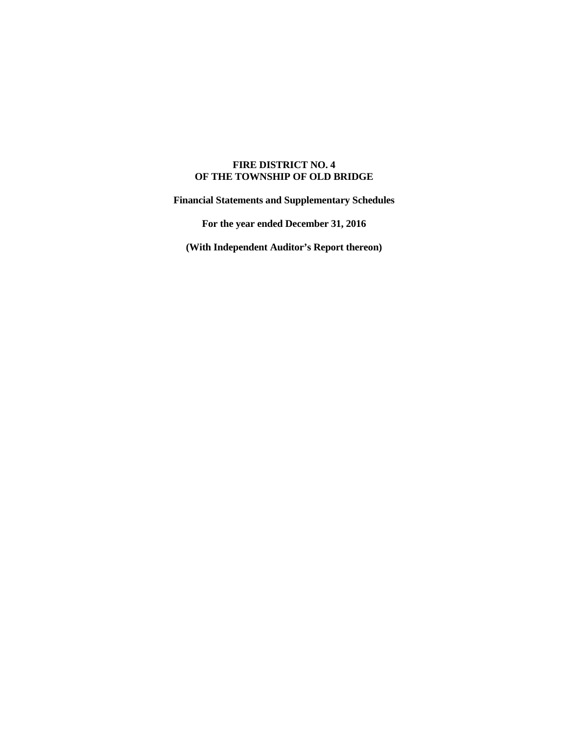# **FIRE DISTRICT NO. 4 OF THE TOWNSHIP OF OLD BRIDGE**

**Financial Statements and Supplementary Schedules** 

**For the year ended December 31, 2016** 

**(With Independent Auditor's Report thereon)**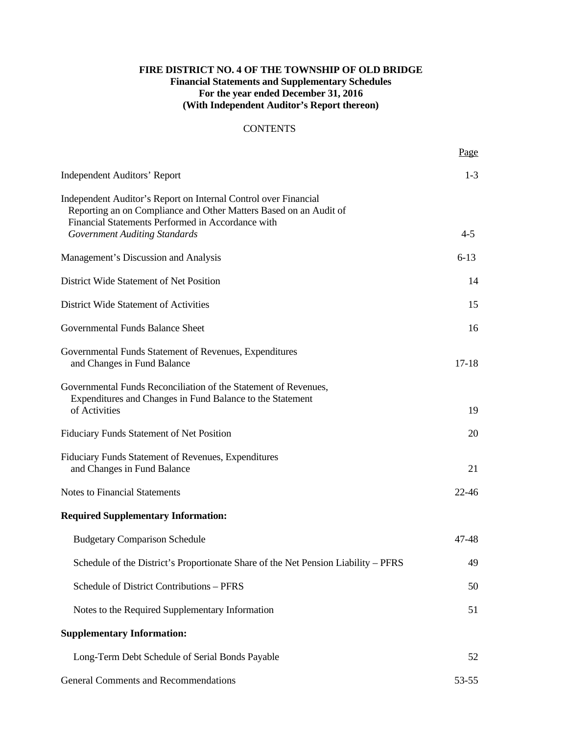# **FIRE DISTRICT NO. 4 OF THE TOWNSHIP OF OLD BRIDGE Financial Statements and Supplementary Schedules For the year ended December 31, 2016 (With Independent Auditor's Report thereon)**

# **CONTENTS**

|                                                                                                                                                                                           | Page      |
|-------------------------------------------------------------------------------------------------------------------------------------------------------------------------------------------|-----------|
| <b>Independent Auditors' Report</b>                                                                                                                                                       | $1-3$     |
| Independent Auditor's Report on Internal Control over Financial<br>Reporting an on Compliance and Other Matters Based on an Audit of<br>Financial Statements Performed in Accordance with |           |
| <b>Government Auditing Standards</b>                                                                                                                                                      | 4-5       |
| Management's Discussion and Analysis                                                                                                                                                      | $6-13$    |
| District Wide Statement of Net Position                                                                                                                                                   | 14        |
| District Wide Statement of Activities                                                                                                                                                     | 15        |
| Governmental Funds Balance Sheet                                                                                                                                                          | 16        |
| Governmental Funds Statement of Revenues, Expenditures<br>and Changes in Fund Balance                                                                                                     | $17 - 18$ |
| Governmental Funds Reconciliation of the Statement of Revenues,<br>Expenditures and Changes in Fund Balance to the Statement<br>of Activities                                             | 19        |
| Fiduciary Funds Statement of Net Position                                                                                                                                                 | 20        |
| Fiduciary Funds Statement of Revenues, Expenditures<br>and Changes in Fund Balance                                                                                                        | 21        |
| <b>Notes to Financial Statements</b>                                                                                                                                                      | $22 - 46$ |
| <b>Required Supplementary Information:</b>                                                                                                                                                |           |
| <b>Budgetary Comparison Schedule</b>                                                                                                                                                      | 47-48     |
| Schedule of the District's Proportionate Share of the Net Pension Liability - PFRS                                                                                                        | 49        |
| Schedule of District Contributions - PFRS                                                                                                                                                 | 50        |
| Notes to the Required Supplementary Information                                                                                                                                           | 51        |
| <b>Supplementary Information:</b>                                                                                                                                                         |           |
| Long-Term Debt Schedule of Serial Bonds Payable                                                                                                                                           | 52        |
| <b>General Comments and Recommendations</b>                                                                                                                                               | $53 - 55$ |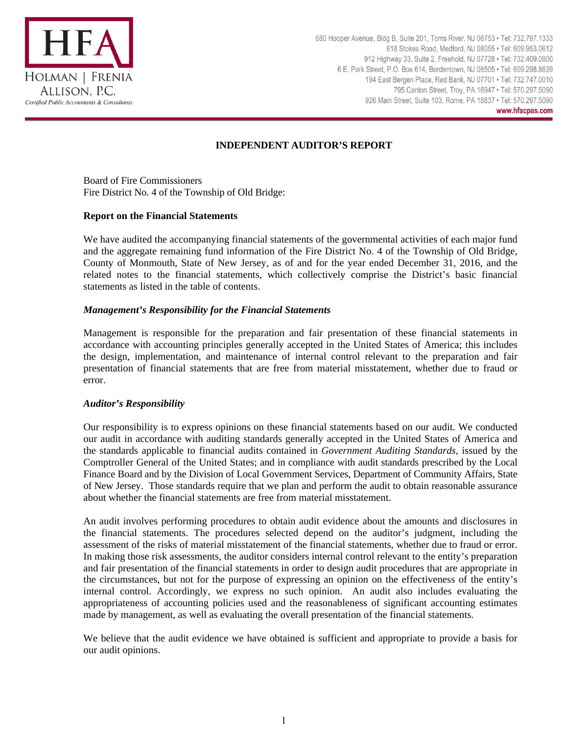

680 Hooper Avenue, Bldg B, Suite 201, Toms River, NJ 08753 · Tel: 732.797.1333 618 Stokes Road, Medford, NJ 08055 · Tel: 609.953.0612 912 Highway 33, Suite 2, Freehold, NJ 07728 · Tel: 732.409.0800 6 E. Park Street, P.O. Box 614, Bordentown, NJ 08505 · Tel: 609.298.8639 194 East Bergen Place, Red Bank, NJ 07701 · Tel: 732.747.0010 795 Canton Street, Troy, PA 16947 · Tel: 570.297.5090 926 Main Street, Suite 103, Rome, PA 18837 · Tel: 570.297.5090 www.hfacpas.com

#### **INDEPENDENT AUDITOR'S REPORT**

Board of Fire Commissioners Fire District No. 4 of the Township of Old Bridge:

#### **Report on the Financial Statements**

We have audited the accompanying financial statements of the governmental activities of each major fund and the aggregate remaining fund information of the Fire District No. 4 of the Township of Old Bridge, County of Monmouth, State of New Jersey, as of and for the year ended December 31, 2016, and the related notes to the financial statements, which collectively comprise the District's basic financial statements as listed in the table of contents.

#### *Management's Responsibility for the Financial Statements*

Management is responsible for the preparation and fair presentation of these financial statements in accordance with accounting principles generally accepted in the United States of America; this includes the design, implementation, and maintenance of internal control relevant to the preparation and fair presentation of financial statements that are free from material misstatement, whether due to fraud or error.

#### *Auditor's Responsibility*

Our responsibility is to express opinions on these financial statements based on our audit. We conducted our audit in accordance with auditing standards generally accepted in the United States of America and the standards applicable to financial audits contained in *Government Auditing Standards,* issued by the Comptroller General of the United States; and in compliance with audit standards prescribed by the Local Finance Board and by the Division of Local Government Services, Department of Community Affairs, State of New Jersey. Those standards require that we plan and perform the audit to obtain reasonable assurance about whether the financial statements are free from material misstatement.

An audit involves performing procedures to obtain audit evidence about the amounts and disclosures in the financial statements. The procedures selected depend on the auditor's judgment, including the assessment of the risks of material misstatement of the financial statements, whether due to fraud or error. In making those risk assessments, the auditor considers internal control relevant to the entity's preparation and fair presentation of the financial statements in order to design audit procedures that are appropriate in the circumstances, but not for the purpose of expressing an opinion on the effectiveness of the entity's internal control. Accordingly, we express no such opinion. An audit also includes evaluating the appropriateness of accounting policies used and the reasonableness of significant accounting estimates made by management, as well as evaluating the overall presentation of the financial statements.

We believe that the audit evidence we have obtained is sufficient and appropriate to provide a basis for our audit opinions.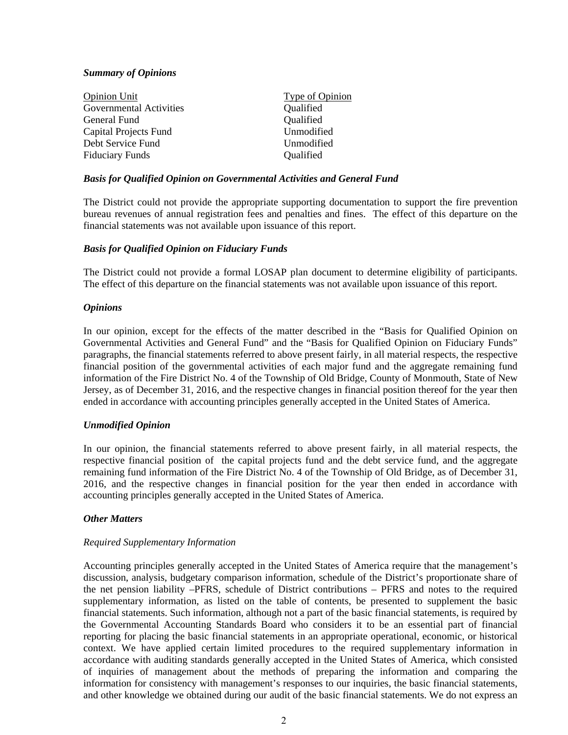#### *Summary of Opinions*

| <b>Opinion Unit</b>            | <b>Type of Opinion</b> |
|--------------------------------|------------------------|
| <b>Governmental Activities</b> | Qualified              |
| General Fund                   | Qualified              |
| Capital Projects Fund          | Unmodified             |
| Debt Service Fund              | Unmodified             |
| <b>Fiduciary Funds</b>         | Qualified              |

#### *Basis for Qualified Opinion on Governmental Activities and General Fund*

The District could not provide the appropriate supporting documentation to support the fire prevention bureau revenues of annual registration fees and penalties and fines. The effect of this departure on the financial statements was not available upon issuance of this report.

#### *Basis for Qualified Opinion on Fiduciary Funds*

The District could not provide a formal LOSAP plan document to determine eligibility of participants. The effect of this departure on the financial statements was not available upon issuance of this report.

#### *Opinions*

In our opinion, except for the effects of the matter described in the "Basis for Qualified Opinion on Governmental Activities and General Fund" and the "Basis for Qualified Opinion on Fiduciary Funds" paragraphs, the financial statements referred to above present fairly, in all material respects, the respective financial position of the governmental activities of each major fund and the aggregate remaining fund information of the Fire District No. 4 of the Township of Old Bridge, County of Monmouth, State of New Jersey, as of December 31, 2016, and the respective changes in financial position thereof for the year then ended in accordance with accounting principles generally accepted in the United States of America.

#### *Unmodified Opinion*

In our opinion, the financial statements referred to above present fairly, in all material respects, the respective financial position of the capital projects fund and the debt service fund, and the aggregate remaining fund information of the Fire District No. 4 of the Township of Old Bridge, as of December 31, 2016, and the respective changes in financial position for the year then ended in accordance with accounting principles generally accepted in the United States of America.

#### *Other Matters*

#### *Required Supplementary Information*

Accounting principles generally accepted in the United States of America require that the management's discussion, analysis, budgetary comparison information, schedule of the District's proportionate share of the net pension liability –PFRS, schedule of District contributions – PFRS and notes to the required supplementary information, as listed on the table of contents, be presented to supplement the basic financial statements. Such information, although not a part of the basic financial statements, is required by the Governmental Accounting Standards Board who considers it to be an essential part of financial reporting for placing the basic financial statements in an appropriate operational, economic, or historical context. We have applied certain limited procedures to the required supplementary information in accordance with auditing standards generally accepted in the United States of America, which consisted of inquiries of management about the methods of preparing the information and comparing the information for consistency with management's responses to our inquiries, the basic financial statements, and other knowledge we obtained during our audit of the basic financial statements. We do not express an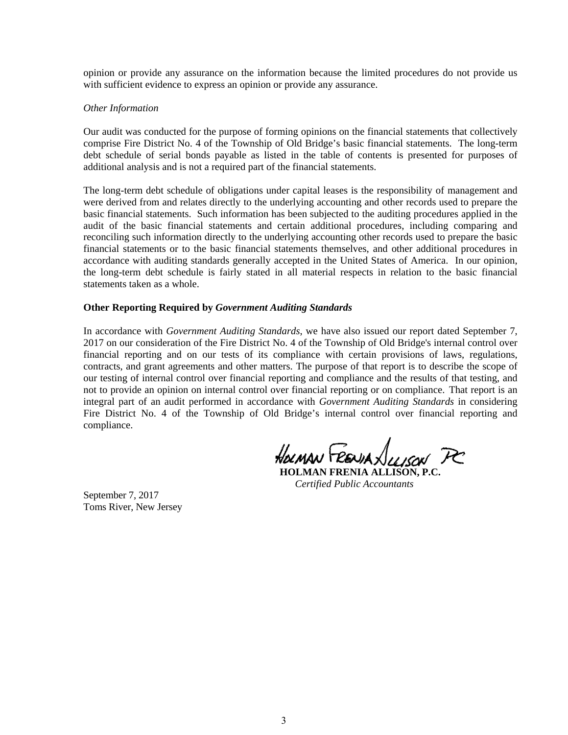opinion or provide any assurance on the information because the limited procedures do not provide us with sufficient evidence to express an opinion or provide any assurance.

#### *Other Information*

Our audit was conducted for the purpose of forming opinions on the financial statements that collectively comprise Fire District No. 4 of the Township of Old Bridge's basic financial statements. The long-term debt schedule of serial bonds payable as listed in the table of contents is presented for purposes of additional analysis and is not a required part of the financial statements.

The long-term debt schedule of obligations under capital leases is the responsibility of management and were derived from and relates directly to the underlying accounting and other records used to prepare the basic financial statements. Such information has been subjected to the auditing procedures applied in the audit of the basic financial statements and certain additional procedures, including comparing and reconciling such information directly to the underlying accounting other records used to prepare the basic financial statements or to the basic financial statements themselves, and other additional procedures in accordance with auditing standards generally accepted in the United States of America. In our opinion, the long-term debt schedule is fairly stated in all material respects in relation to the basic financial statements taken as a whole.

#### **Other Reporting Required by** *Government Auditing Standards*

In accordance with *Government Auditing Standards*, we have also issued our report dated September 7, 2017 on our consideration of the Fire District No. 4 of the Township of Old Bridge's internal control over financial reporting and on our tests of its compliance with certain provisions of laws, regulations, contracts, and grant agreements and other matters. The purpose of that report is to describe the scope of our testing of internal control over financial reporting and compliance and the results of that testing, and not to provide an opinion on internal control over financial reporting or on compliance. That report is an integral part of an audit performed in accordance with *Government Auditing Standards* in considering Fire District No. 4 of the Township of Old Bridge's internal control over financial reporting and compliance.

HOLMAN FRENANCLISON **HOLMAN FRENIA ALLISON, P.C.** 

*Certified Public Accountants*

September 7, 2017 Toms River, New Jersey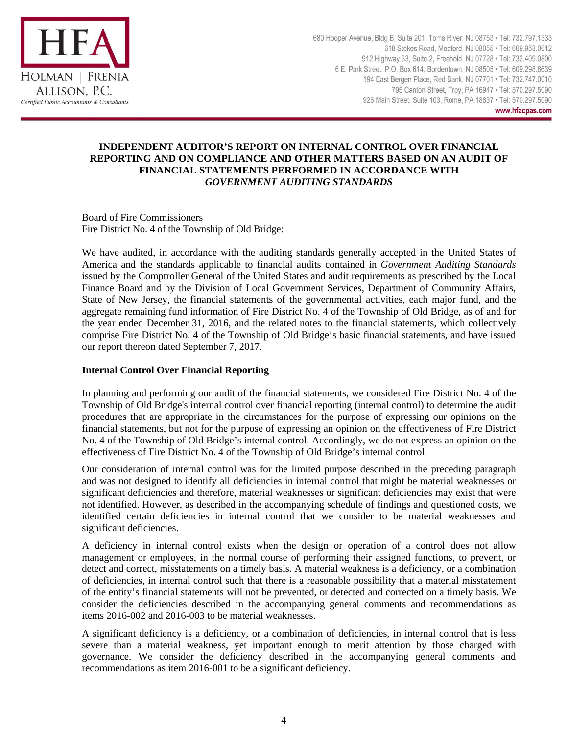

680 Hooper Avenue, Bldg B, Suite 201, Toms River, NJ 08753 · Tel: 732.797.1333 618 Stokes Road, Medford, NJ 08055 · Tel: 609.953.0612 912 Highway 33, Suite 2, Freehold, NJ 07728 · Tel: 732.409.0800 6 E. Park Street, P.O. Box 614, Bordentown, NJ 08505 · Tel: 609.298.8639 194 East Bergen Place, Red Bank, NJ 07701 · Tel: 732.747.0010 795 Canton Street, Troy, PA 16947 · Tel: 570.297.5090 926 Main Street, Suite 103, Rome, PA 18837 • Tel: 570.297.5090 www.hfacpas.com

#### **INDEPENDENT AUDITOR'S REPORT ON INTERNAL CONTROL OVER FINANCIAL REPORTING AND ON COMPLIANCE AND OTHER MATTERS BASED ON AN AUDIT OF FINANCIAL STATEMENTS PERFORMED IN ACCORDANCE WITH**  *GOVERNMENT AUDITING STANDARDS*

Board of Fire Commissioners Fire District No. 4 of the Township of Old Bridge:

We have audited, in accordance with the auditing standards generally accepted in the United States of America and the standards applicable to financial audits contained in *Government Auditing Standards*  issued by the Comptroller General of the United States and audit requirements as prescribed by the Local Finance Board and by the Division of Local Government Services, Department of Community Affairs, State of New Jersey, the financial statements of the governmental activities, each major fund, and the aggregate remaining fund information of Fire District No. 4 of the Township of Old Bridge, as of and for the year ended December 31, 2016, and the related notes to the financial statements, which collectively comprise Fire District No. 4 of the Township of Old Bridge's basic financial statements, and have issued our report thereon dated September 7, 2017.

#### **Internal Control Over Financial Reporting**

In planning and performing our audit of the financial statements, we considered Fire District No. 4 of the Township of Old Bridge's internal control over financial reporting (internal control) to determine the audit procedures that are appropriate in the circumstances for the purpose of expressing our opinions on the financial statements, but not for the purpose of expressing an opinion on the effectiveness of Fire District No. 4 of the Township of Old Bridge's internal control. Accordingly, we do not express an opinion on the effectiveness of Fire District No. 4 of the Township of Old Bridge's internal control.

Our consideration of internal control was for the limited purpose described in the preceding paragraph and was not designed to identify all deficiencies in internal control that might be material weaknesses or significant deficiencies and therefore, material weaknesses or significant deficiencies may exist that were not identified. However, as described in the accompanying schedule of findings and questioned costs, we identified certain deficiencies in internal control that we consider to be material weaknesses and significant deficiencies.

A deficiency in internal control exists when the design or operation of a control does not allow management or employees, in the normal course of performing their assigned functions, to prevent, or detect and correct, misstatements on a timely basis. A material weakness is a deficiency, or a combination of deficiencies, in internal control such that there is a reasonable possibility that a material misstatement of the entity's financial statements will not be prevented, or detected and corrected on a timely basis. We consider the deficiencies described in the accompanying general comments and recommendations as items 2016-002 and 2016-003 to be material weaknesses.

A significant deficiency is a deficiency, or a combination of deficiencies, in internal control that is less severe than a material weakness, yet important enough to merit attention by those charged with governance. We consider the deficiency described in the accompanying general comments and recommendations as item 2016-001 to be a significant deficiency.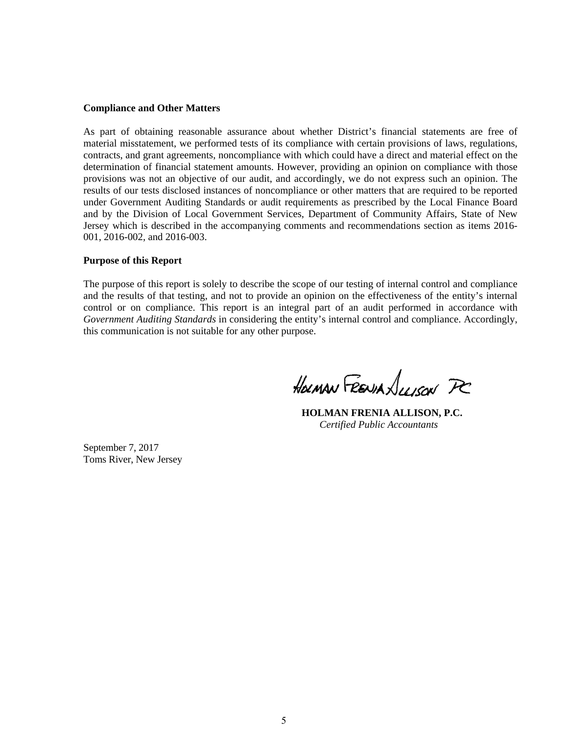#### **Compliance and Other Matters**

As part of obtaining reasonable assurance about whether District's financial statements are free of material misstatement, we performed tests of its compliance with certain provisions of laws, regulations, contracts, and grant agreements, noncompliance with which could have a direct and material effect on the determination of financial statement amounts. However, providing an opinion on compliance with those provisions was not an objective of our audit, and accordingly, we do not express such an opinion. The results of our tests disclosed instances of noncompliance or other matters that are required to be reported under Government Auditing Standards or audit requirements as prescribed by the Local Finance Board and by the Division of Local Government Services, Department of Community Affairs, State of New Jersey which is described in the accompanying comments and recommendations section as items 2016- 001, 2016-002, and 2016-003.

#### **Purpose of this Report**

The purpose of this report is solely to describe the scope of our testing of internal control and compliance and the results of that testing, and not to provide an opinion on the effectiveness of the entity's internal control or on compliance. This report is an integral part of an audit performed in accordance with *Government Auditing Standards* in considering the entity's internal control and compliance. Accordingly, this communication is not suitable for any other purpose.

HOLMAN FRENIAN USON PC

 **HOLMAN FRENIA ALLISON, P.C.**  *Certified Public Accountants* 

September 7, 2017 Toms River, New Jersey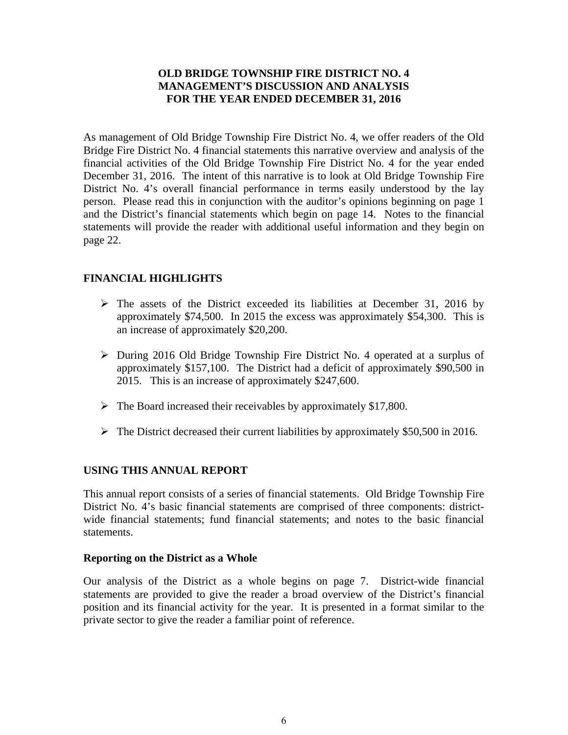# **OLD BRIDGE TOWNSHIP FIRE DISTRICT NO. 4 MANAGEMENT'S DISCUSSION AND ANALYSIS FOR THE YEAR ENDED DECEMBER 31, 2016**

As management of Old Bridge Township Fire District No. 4, we offer readers of the Old Bridge Fire District No. 4 financial statements this narrative overview and analysis of the financial activities of the Old Bridge Township Fire District No. 4 for the year ended December 31, 2016. The intent of this narrative is to look at Old Bridge Township Fire District No. 4's overall financial performance in terms easily understood by the lay person. Please read this in conjunction with the auditor's opinions beginning on page 1 and the District's financial statements which begin on page 14. Notes to the financial statements will provide the reader with additional useful information and they begin on page 22.

# **FINANCIAL HIGHLIGHTS**

- $\triangleright$  The assets of the District exceeded its liabilities at December 31, 2016 by approximately \$74,500. In 2015 the excess was approximately \$54,300. This is an increase of approximately \$20,200.
- $\triangleright$  During 2016 Old Bridge Township Fire District No. 4 operated at a surplus of approximately \$157,100. The District had a deficit of approximately \$90,500 in 2015. This is an increase of approximately \$247,600.
- $\triangleright$  The Board increased their receivables by approximately \$17,800.
- $\triangleright$  The District decreased their current liabilities by approximately \$50,500 in 2016.

# **USING THIS ANNUAL REPORT**

This annual report consists of a series of financial statements. Old Bridge Township Fire District No. 4's basic financial statements are comprised of three components: districtwide financial statements; fund financial statements; and notes to the basic financial statements.

# **Reporting on the District as a Whole**

Our analysis of the District as a whole begins on page 7. District-wide financial statements are provided to give the reader a broad overview of the District's financial position and its financial activity for the year. It is presented in a format similar to the private sector to give the reader a familiar point of reference.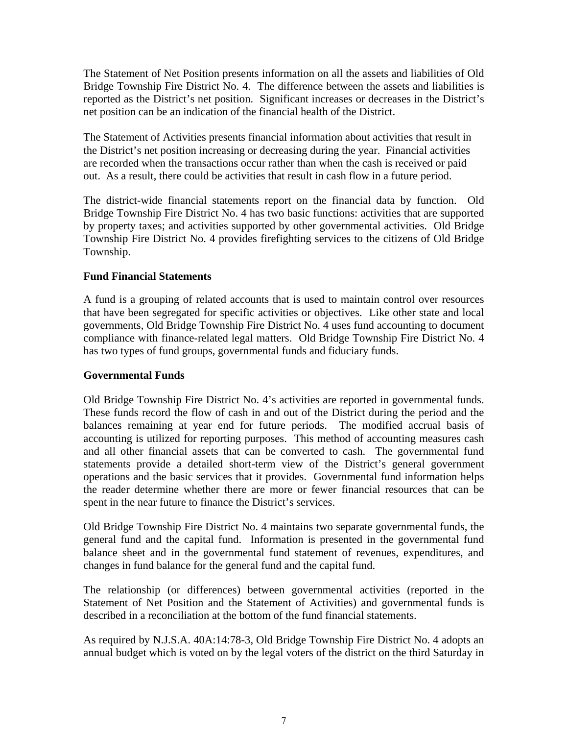The Statement of Net Position presents information on all the assets and liabilities of Old Bridge Township Fire District No. 4. The difference between the assets and liabilities is reported as the District's net position. Significant increases or decreases in the District's net position can be an indication of the financial health of the District.

The Statement of Activities presents financial information about activities that result in the District's net position increasing or decreasing during the year. Financial activities are recorded when the transactions occur rather than when the cash is received or paid out. As a result, there could be activities that result in cash flow in a future period.

The district-wide financial statements report on the financial data by function. Old Bridge Township Fire District No. 4 has two basic functions: activities that are supported by property taxes; and activities supported by other governmental activities. Old Bridge Township Fire District No. 4 provides firefighting services to the citizens of Old Bridge Township.

# **Fund Financial Statements**

A fund is a grouping of related accounts that is used to maintain control over resources that have been segregated for specific activities or objectives. Like other state and local governments, Old Bridge Township Fire District No. 4 uses fund accounting to document compliance with finance-related legal matters. Old Bridge Township Fire District No. 4 has two types of fund groups, governmental funds and fiduciary funds.

# **Governmental Funds**

Old Bridge Township Fire District No. 4's activities are reported in governmental funds. These funds record the flow of cash in and out of the District during the period and the balances remaining at year end for future periods. The modified accrual basis of accounting is utilized for reporting purposes. This method of accounting measures cash and all other financial assets that can be converted to cash. The governmental fund statements provide a detailed short-term view of the District's general government operations and the basic services that it provides. Governmental fund information helps the reader determine whether there are more or fewer financial resources that can be spent in the near future to finance the District's services.

Old Bridge Township Fire District No. 4 maintains two separate governmental funds, the general fund and the capital fund. Information is presented in the governmental fund balance sheet and in the governmental fund statement of revenues, expenditures, and changes in fund balance for the general fund and the capital fund.

The relationship (or differences) between governmental activities (reported in the Statement of Net Position and the Statement of Activities) and governmental funds is described in a reconciliation at the bottom of the fund financial statements.

As required by N.J.S.A. 40A:14:78-3, Old Bridge Township Fire District No. 4 adopts an annual budget which is voted on by the legal voters of the district on the third Saturday in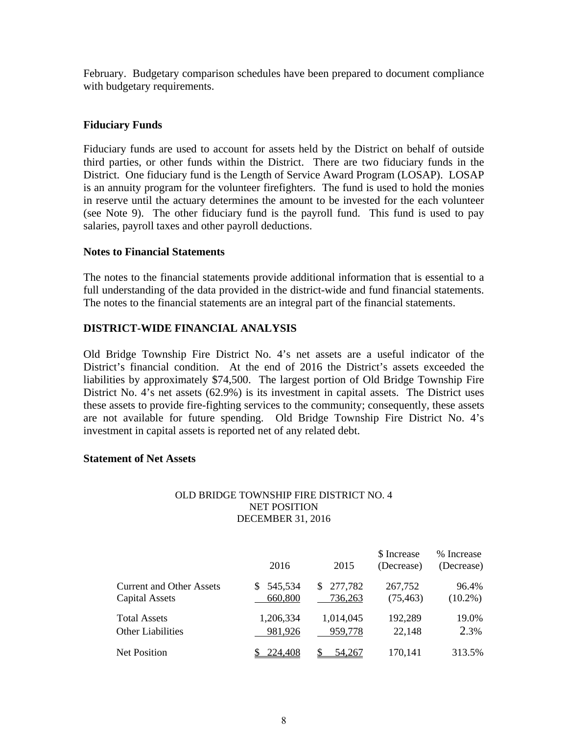February. Budgetary comparison schedules have been prepared to document compliance with budgetary requirements.

#### **Fiduciary Funds**

Fiduciary funds are used to account for assets held by the District on behalf of outside third parties, or other funds within the District. There are two fiduciary funds in the District. One fiduciary fund is the Length of Service Award Program (LOSAP). LOSAP is an annuity program for the volunteer firefighters. The fund is used to hold the monies in reserve until the actuary determines the amount to be invested for the each volunteer (see Note 9). The other fiduciary fund is the payroll fund. This fund is used to pay salaries, payroll taxes and other payroll deductions.

#### **Notes to Financial Statements**

The notes to the financial statements provide additional information that is essential to a full understanding of the data provided in the district-wide and fund financial statements. The notes to the financial statements are an integral part of the financial statements.

#### **DISTRICT-WIDE FINANCIAL ANALYSIS**

Old Bridge Township Fire District No. 4's net assets are a useful indicator of the District's financial condition. At the end of 2016 the District's assets exceeded the liabilities by approximately \$74,500. The largest portion of Old Bridge Township Fire District No. 4's net assets (62.9%) is its investment in capital assets. The District uses these assets to provide fire-fighting services to the community; consequently, these assets are not available for future spending. Old Bridge Township Fire District No. 4's investment in capital assets is reported net of any related debt.

#### **Statement of Net Assets**

#### OLD BRIDGE TOWNSHIP FIRE DISTRICT NO. 4 NET POSITION DECEMBER 31, 2016

|                                                   | 2016                     | 2015                 | \$ Increase<br>(Decrease) | % Increase<br>(Decrease) |
|---------------------------------------------------|--------------------------|----------------------|---------------------------|--------------------------|
| <b>Current and Other Assets</b><br>Capital Assets | 545,534<br>S.<br>660,800 | \$277,782<br>736,263 | 267,752<br>(75, 463)      | 96.4%<br>$(10.2\%)$      |
| <b>Total Assets</b><br><b>Other Liabilities</b>   | 1,206,334<br>981,926     | 1,014,045<br>959,778 | 192,289<br>22,148         | 19.0%<br>2.3%            |
| <b>Net Position</b>                               | 224,408                  | 54,267               | 170.141                   | 313.5%                   |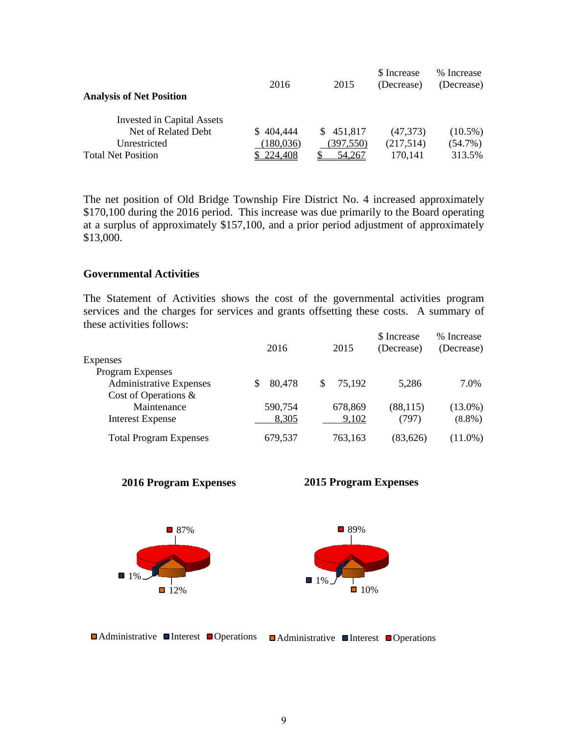|                                   | 2016      | 2015          | \$ Increase<br>(Decrease) | % Increase<br>(Decrease) |
|-----------------------------------|-----------|---------------|---------------------------|--------------------------|
| <b>Analysis of Net Position</b>   |           |               |                           |                          |
| <b>Invested in Capital Assets</b> |           |               |                           |                          |
| Net of Related Debt               | \$404,444 | 451,817<br>S. | (47,373)                  | $(10.5\%)$               |
| Unrestricted                      | (180,036) | (397, 550)    | (217,514)                 | $(54.7\%)$               |
| <b>Total Net Position</b>         | 224,408   | 54,267        | 170,141                   | 313.5%                   |

The net position of Old Bridge Township Fire District No. 4 increased approximately \$170,100 during the 2016 period. This increase was due primarily to the Board operating at a surplus of approximately \$157,100, and a prior period adjustment of approximately \$13,000.

#### **Governmental Activities**

The Statement of Activities shows the cost of the governmental activities program services and the charges for services and grants offsetting these costs. A summary of these activities follows:

| 2016    | 2015          | \$ Increase<br>(Decrease) | % Increase<br>(Decrease) |
|---------|---------------|---------------------------|--------------------------|
|         |               |                           |                          |
| 80,478  | 75,192<br>\$. | 5,286                     | 7.0%                     |
|         |               |                           |                          |
| 590,754 | 678,869       | (88, 115)                 | $(13.0\%)$               |
| 8,305   | 9,102         | (797)                     | $(8.8\%)$                |
| 679,537 | 763,163       | (83, 626)                 | $(11.0\%)$               |
|         |               |                           |                          |

# **2016 Program Expenses**





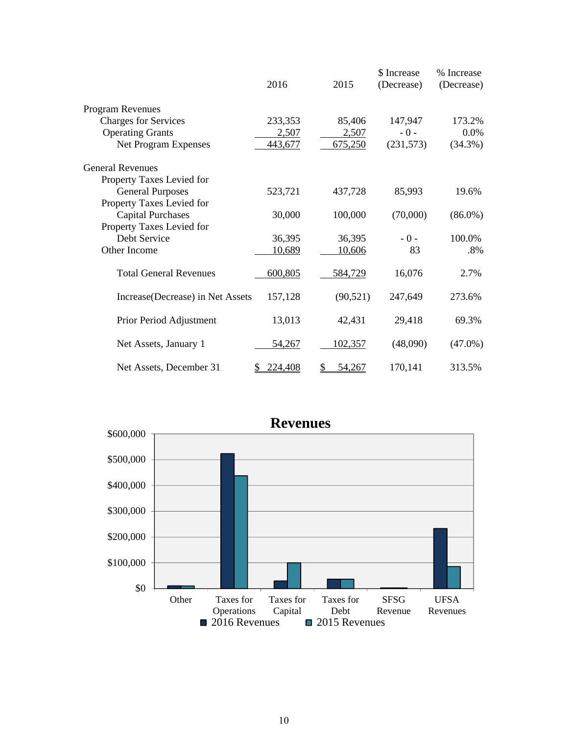|                                   | 2016          | 2015         | \$ Increase<br>(Decrease) | % Increase<br>(Decrease) |
|-----------------------------------|---------------|--------------|---------------------------|--------------------------|
| <b>Program Revenues</b>           |               |              |                           |                          |
| <b>Charges for Services</b>       | 233,353       | 85,406       | 147,947                   | 173.2%                   |
| <b>Operating Grants</b>           | 2,507         | 2,507        | $-0-$                     | 0.0%                     |
| Net Program Expenses              | 443,677       | 675,250      | (231, 573)                | $(34.3\%)$               |
| <b>General Revenues</b>           |               |              |                           |                          |
| Property Taxes Levied for         |               |              |                           |                          |
| <b>General Purposes</b>           | 523,721       | 437,728      | 85,993                    | 19.6%                    |
| Property Taxes Levied for         |               |              |                           |                          |
| <b>Capital Purchases</b>          | 30,000        | 100,000      | (70,000)                  | $(86.0\%)$               |
| Property Taxes Levied for         |               |              |                           |                          |
| Debt Service                      | 36,395        | 36,395       | $-0-$                     | 100.0%                   |
| Other Income                      | 10,689        | 10,606       | 83                        | $.8\%$                   |
| <b>Total General Revenues</b>     | 600,805       | 584,729      | 16,076                    | 2.7%                     |
| Increase (Decrease) in Net Assets | 157,128       | (90, 521)    | 247,649                   | 273.6%                   |
| Prior Period Adjustment           | 13,013        | 42,431       | 29,418                    | 69.3%                    |
| Net Assets, January 1             | <u>54,267</u> | 102,357      | (48,090)                  | $(47.0\%)$               |
| Net Assets, December 31           | 224,408       | 54,267<br>\$ | 170,141                   | 313.5%                   |

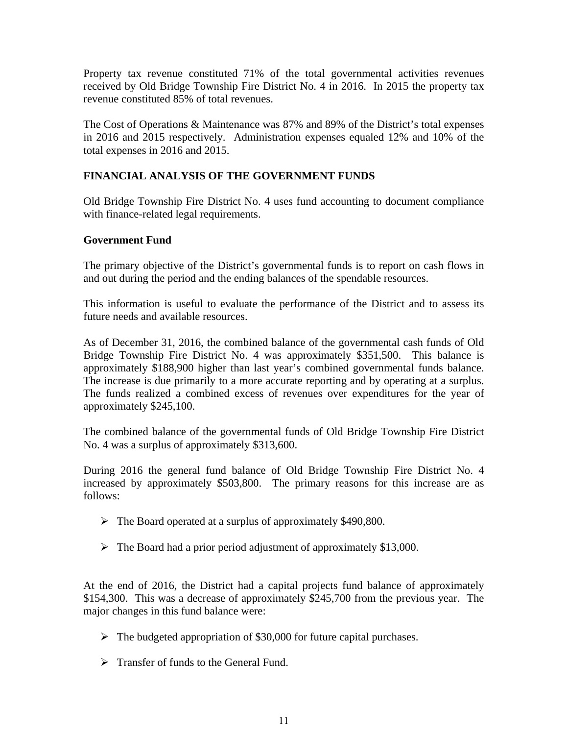Property tax revenue constituted 71% of the total governmental activities revenues received by Old Bridge Township Fire District No. 4 in 2016. In 2015 the property tax revenue constituted 85% of total revenues.

The Cost of Operations & Maintenance was 87% and 89% of the District's total expenses in 2016 and 2015 respectively. Administration expenses equaled 12% and 10% of the total expenses in 2016 and 2015.

# **FINANCIAL ANALYSIS OF THE GOVERNMENT FUNDS**

Old Bridge Township Fire District No. 4 uses fund accounting to document compliance with finance-related legal requirements.

# **Government Fund**

The primary objective of the District's governmental funds is to report on cash flows in and out during the period and the ending balances of the spendable resources.

This information is useful to evaluate the performance of the District and to assess its future needs and available resources.

As of December 31, 2016, the combined balance of the governmental cash funds of Old Bridge Township Fire District No. 4 was approximately \$351,500. This balance is approximately \$188,900 higher than last year's combined governmental funds balance. The increase is due primarily to a more accurate reporting and by operating at a surplus. The funds realized a combined excess of revenues over expenditures for the year of approximately \$245,100.

The combined balance of the governmental funds of Old Bridge Township Fire District No. 4 was a surplus of approximately \$313,600.

During 2016 the general fund balance of Old Bridge Township Fire District No. 4 increased by approximately \$503,800. The primary reasons for this increase are as follows:

- The Board operated at a surplus of approximately \$490,800.
- $\triangleright$  The Board had a prior period adjustment of approximately \$13,000.

At the end of 2016, the District had a capital projects fund balance of approximately \$154,300. This was a decrease of approximately \$245,700 from the previous year. The major changes in this fund balance were:

- $\triangleright$  The budgeted appropriation of \$30,000 for future capital purchases.
- $\triangleright$  Transfer of funds to the General Fund.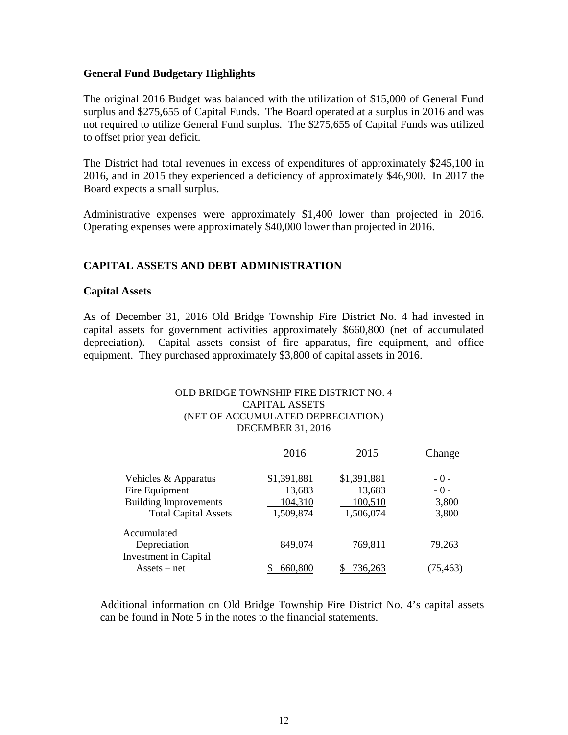# **General Fund Budgetary Highlights**

The original 2016 Budget was balanced with the utilization of \$15,000 of General Fund surplus and \$275,655 of Capital Funds. The Board operated at a surplus in 2016 and was not required to utilize General Fund surplus. The \$275,655 of Capital Funds was utilized to offset prior year deficit.

The District had total revenues in excess of expenditures of approximately \$245,100 in 2016, and in 2015 they experienced a deficiency of approximately \$46,900. In 2017 the Board expects a small surplus.

Administrative expenses were approximately \$1,400 lower than projected in 2016. Operating expenses were approximately \$40,000 lower than projected in 2016.

# **CAPITAL ASSETS AND DEBT ADMINISTRATION**

# **Capital Assets**

As of December 31, 2016 Old Bridge Township Fire District No. 4 had invested in capital assets for government activities approximately \$660,800 (net of accumulated depreciation). Capital assets consist of fire apparatus, fire equipment, and office equipment. They purchased approximately \$3,800 of capital assets in 2016.

#### OLD BRIDGE TOWNSHIP FIRE DISTRICT NO. 4 CAPITAL ASSETS (NET OF ACCUMULATED DEPRECIATION) DECEMBER 31, 2016

| 2016        | 2015        | Change    |
|-------------|-------------|-----------|
| \$1,391,881 | \$1,391,881 | $-0-$     |
| 13,683      | 13,683      | $-0-$     |
| 104,310     | 100,510     | 3,800     |
| 1,509,874   | 1,506,074   | 3,800     |
|             |             |           |
| 849,074     | 769,811     | 79,263    |
|             |             |           |
| 660.800     | 736.263     | (75, 463) |
|             |             |           |

Additional information on Old Bridge Township Fire District No. 4's capital assets can be found in Note 5 in the notes to the financial statements.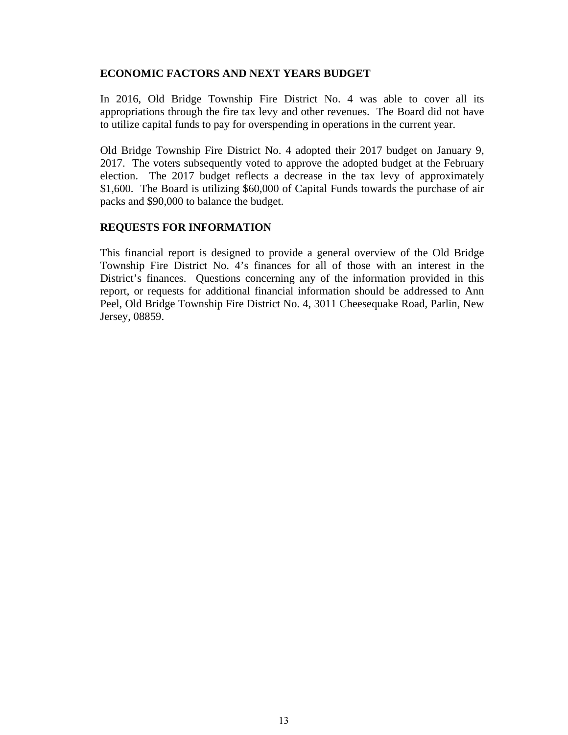# **ECONOMIC FACTORS AND NEXT YEARS BUDGET**

In 2016, Old Bridge Township Fire District No. 4 was able to cover all its appropriations through the fire tax levy and other revenues. The Board did not have to utilize capital funds to pay for overspending in operations in the current year.

Old Bridge Township Fire District No. 4 adopted their 2017 budget on January 9, 2017. The voters subsequently voted to approve the adopted budget at the February election. The 2017 budget reflects a decrease in the tax levy of approximately \$1,600. The Board is utilizing \$60,000 of Capital Funds towards the purchase of air packs and \$90,000 to balance the budget.

# **REQUESTS FOR INFORMATION**

This financial report is designed to provide a general overview of the Old Bridge Township Fire District No. 4's finances for all of those with an interest in the District's finances. Questions concerning any of the information provided in this report, or requests for additional financial information should be addressed to Ann Peel, Old Bridge Township Fire District No. 4, 3011 Cheesequake Road, Parlin, New Jersey, 08859.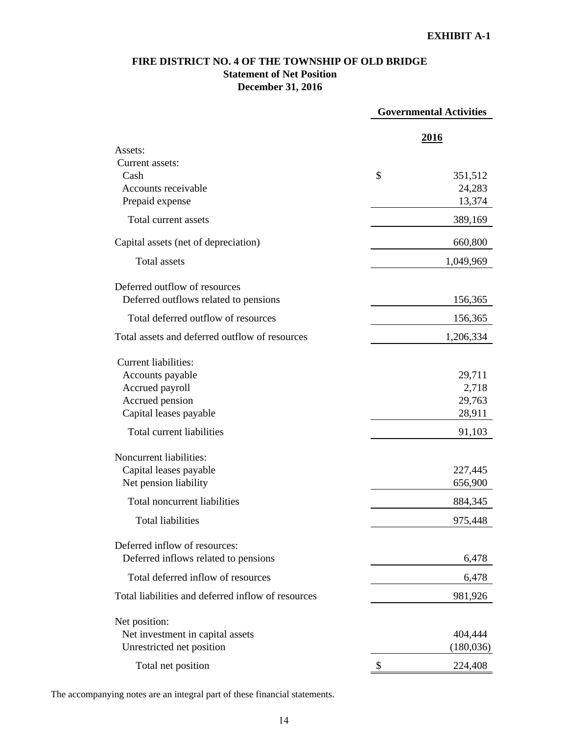# **FIRE DISTRICT NO. 4 OF THE TOWNSHIP OF OLD BRIDGE Statement of Net Position December 31, 2016**

|                                                    | <b>Governmental Activities</b> |            |  |  |
|----------------------------------------------------|--------------------------------|------------|--|--|
|                                                    |                                | 2016       |  |  |
| Assets:                                            |                                |            |  |  |
| Current assets:<br>Cash                            | \$                             | 351,512    |  |  |
| Accounts receivable                                |                                | 24,283     |  |  |
| Prepaid expense                                    |                                | 13,374     |  |  |
| Total current assets                               |                                | 389,169    |  |  |
| Capital assets (net of depreciation)               |                                | 660,800    |  |  |
|                                                    |                                |            |  |  |
| <b>Total</b> assets                                |                                | 1,049,969  |  |  |
| Deferred outflow of resources                      |                                |            |  |  |
| Deferred outflows related to pensions              |                                | 156,365    |  |  |
| Total deferred outflow of resources                |                                | 156,365    |  |  |
| Total assets and deferred outflow of resources     |                                | 1,206,334  |  |  |
| <b>Current liabilities:</b>                        |                                |            |  |  |
| Accounts payable                                   |                                | 29,711     |  |  |
| Accrued payroll                                    |                                | 2,718      |  |  |
| Accrued pension                                    |                                | 29,763     |  |  |
| Capital leases payable                             |                                | 28,911     |  |  |
| Total current liabilities                          |                                | 91,103     |  |  |
| Noncurrent liabilities:                            |                                |            |  |  |
| Capital leases payable                             |                                | 227,445    |  |  |
| Net pension liability                              |                                | 656,900    |  |  |
| Total noncurrent liabilities                       |                                | 884,345    |  |  |
| <b>Total liabilities</b>                           |                                | 975,448    |  |  |
| Deferred inflow of resources:                      |                                |            |  |  |
| Deferred inflows related to pensions               |                                | 6,478      |  |  |
| Total deferred inflow of resources                 |                                | 6,478      |  |  |
| Total liabilities and deferred inflow of resources |                                | 981,926    |  |  |
| Net position:                                      |                                |            |  |  |
| Net investment in capital assets                   |                                | 404,444    |  |  |
| Unrestricted net position                          |                                | (180, 036) |  |  |
| Total net position                                 | $\boldsymbol{\mathsf{S}}$      | 224,408    |  |  |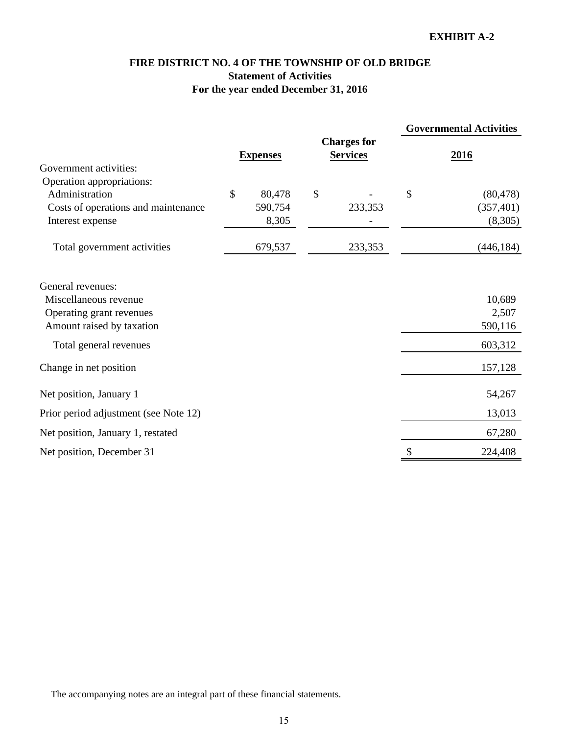# **FIRE DISTRICT NO. 4 OF THE TOWNSHIP OF OLD BRIDGE Statement of Activities For the year ended December 31, 2016**

|                                                                                                                                                         |                 |                  |                                       |         | <b>Governmental Activities</b>                   |  |
|---------------------------------------------------------------------------------------------------------------------------------------------------------|-----------------|------------------|---------------------------------------|---------|--------------------------------------------------|--|
|                                                                                                                                                         | <b>Expenses</b> |                  | <b>Charges for</b><br><b>Services</b> |         | 2016                                             |  |
| Government activities:                                                                                                                                  |                 |                  |                                       |         |                                                  |  |
| Operation appropriations:                                                                                                                               |                 |                  |                                       |         |                                                  |  |
| Administration                                                                                                                                          | \$              | 80,478           | \$                                    |         | \$<br>(80, 478)                                  |  |
| Costs of operations and maintenance                                                                                                                     |                 | 590,754<br>8,305 |                                       | 233,353 | (357, 401)                                       |  |
| Interest expense                                                                                                                                        |                 |                  |                                       |         | (8,305)                                          |  |
| Total government activities                                                                                                                             |                 | 679,537          |                                       | 233,353 | (446, 184)                                       |  |
| General revenues:<br>Miscellaneous revenue<br>Operating grant revenues<br>Amount raised by taxation<br>Total general revenues<br>Change in net position |                 |                  |                                       |         | 10,689<br>2,507<br>590,116<br>603,312<br>157,128 |  |
| Net position, January 1                                                                                                                                 |                 |                  |                                       |         | 54,267                                           |  |
| Prior period adjustment (see Note 12)                                                                                                                   |                 |                  |                                       |         | 13,013                                           |  |
| Net position, January 1, restated                                                                                                                       |                 |                  |                                       |         | 67,280                                           |  |
| Net position, December 31                                                                                                                               |                 |                  |                                       |         | 224,408                                          |  |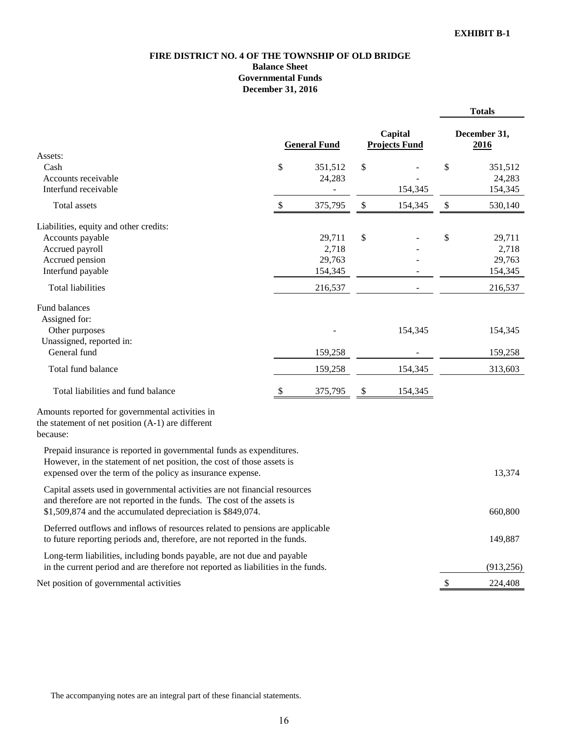#### **FIRE DISTRICT NO. 4 OF THE TOWNSHIP OF OLD BRIDGE Balance Sheet Governmental Funds December 31, 2016**

|                                                                                                                                                                                                                    |                                                 |    |                                 |    | <b>Totals</b>                                   |
|--------------------------------------------------------------------------------------------------------------------------------------------------------------------------------------------------------------------|-------------------------------------------------|----|---------------------------------|----|-------------------------------------------------|
|                                                                                                                                                                                                                    | <b>General Fund</b>                             |    | Capital<br><b>Projects Fund</b> |    | December 31,<br>2016                            |
| Assets:<br>Cash<br>Accounts receivable<br>Interfund receivable                                                                                                                                                     | \$<br>351,512<br>24,283                         | \$ | 154,345                         | \$ | 351,512<br>24,283<br>154,345                    |
| <b>Total assets</b>                                                                                                                                                                                                | \$<br>375,795                                   | \$ | 154,345                         | \$ | 530,140                                         |
| Liabilities, equity and other credits:<br>Accounts payable<br>Accrued payroll<br>Accrued pension<br>Interfund payable<br>Total liabilities                                                                         | 29,711<br>2,718<br>29,763<br>154,345<br>216,537 | \$ |                                 | \$ | 29,711<br>2,718<br>29,763<br>154,345<br>216,537 |
| <b>Fund balances</b><br>Assigned for:<br>Other purposes<br>Unassigned, reported in:                                                                                                                                |                                                 |    | 154,345                         |    | 154,345                                         |
| General fund<br>Total fund balance                                                                                                                                                                                 | 159,258<br>159,258                              |    | 154,345                         |    | 159,258<br>313,603                              |
| Total liabilities and fund balance                                                                                                                                                                                 | \$<br>375,795                                   | \$ | 154,345                         |    |                                                 |
| Amounts reported for governmental activities in<br>the statement of net position (A-1) are different<br>because:                                                                                                   |                                                 |    |                                 |    |                                                 |
| Prepaid insurance is reported in governmental funds as expenditures.<br>However, in the statement of net position, the cost of those assets is<br>expensed over the term of the policy as insurance expense.       |                                                 |    |                                 |    | 13,374                                          |
| Capital assets used in governmental activities are not financial resources<br>and therefore are not reported in the funds. The cost of the assets is<br>\$1,509,874 and the accumulated depreciation is \$849,074. |                                                 |    |                                 |    | 660,800                                         |
| Deferred outflows and inflows of resources related to pensions are applicable<br>to future reporting periods and, therefore, are not reported in the funds.                                                        |                                                 |    |                                 |    | 149,887                                         |
| Long-term liabilities, including bonds payable, are not due and payable<br>in the current period and are therefore not reported as liabilities in the funds.                                                       |                                                 |    |                                 |    | (913, 256)                                      |
| Net position of governmental activities                                                                                                                                                                            |                                                 |    |                                 | \$ | 224,408                                         |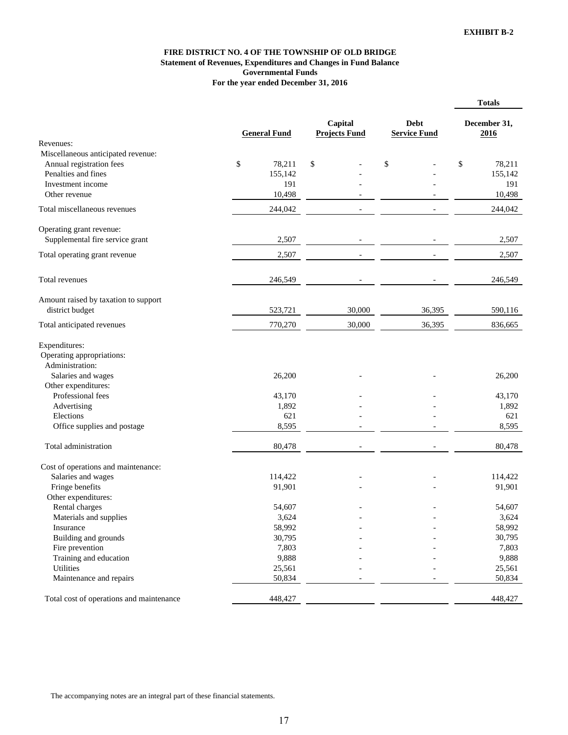#### **FIRE DISTRICT NO. 4 OF THE TOWNSHIP OF OLD BRIDGE Statement of Revenues, Expenditures and Changes in Fund Balance Governmental Funds For the year ended December 31, 2016**

|                                          |                     |                                 |                             |        | <b>Totals</b>        |
|------------------------------------------|---------------------|---------------------------------|-----------------------------|--------|----------------------|
|                                          | <b>General Fund</b> | Capital<br><b>Projects Fund</b> | Debt<br><b>Service Fund</b> |        | December 31,<br>2016 |
| Revenues:                                |                     |                                 |                             |        |                      |
| Miscellaneous anticipated revenue:       |                     |                                 |                             |        |                      |
| Annual registration fees                 | \$<br>78,211        | \$                              | \$                          |        | \$<br>78,211         |
| Penalties and fines                      | 155,142             |                                 |                             |        | 155,142              |
| Investment income                        | 191                 |                                 |                             |        | 191                  |
| Other revenue                            | 10,498              |                                 |                             |        | 10,498               |
| Total miscellaneous revenues             | 244,042             |                                 |                             |        | 244,042              |
| Operating grant revenue:                 |                     |                                 |                             |        |                      |
| Supplemental fire service grant          | 2,507               |                                 |                             |        | 2,507                |
| Total operating grant revenue            | 2,507               | $\overline{\phantom{a}}$        |                             |        | 2,507                |
|                                          |                     |                                 |                             |        |                      |
| Total revenues                           | 246,549             |                                 |                             |        | 246,549              |
| Amount raised by taxation to support     |                     |                                 |                             |        |                      |
| district budget                          | 523,721             | 30,000                          |                             | 36,395 | 590,116              |
| Total anticipated revenues               | 770,270             | 30,000                          |                             | 36,395 | 836,665              |
| Expenditures:                            |                     |                                 |                             |        |                      |
| Operating appropriations:                |                     |                                 |                             |        |                      |
| Administration:                          |                     |                                 |                             |        |                      |
| Salaries and wages                       | 26,200              |                                 |                             |        | 26,200               |
| Other expenditures:                      |                     |                                 |                             |        |                      |
| Professional fees                        | 43,170              |                                 |                             |        | 43,170               |
| Advertising                              | 1,892               |                                 |                             |        | 1,892                |
| Elections                                | 621                 |                                 |                             |        | 621                  |
| Office supplies and postage              | 8,595               |                                 |                             |        | 8,595                |
| Total administration                     | 80,478              |                                 |                             |        | 80,478               |
| Cost of operations and maintenance:      |                     |                                 |                             |        |                      |
| Salaries and wages                       | 114,422             |                                 |                             |        | 114,422              |
| Fringe benefits                          | 91,901              |                                 |                             |        | 91,901               |
| Other expenditures:                      |                     |                                 |                             |        |                      |
| Rental charges                           | 54,607              |                                 |                             |        | 54,607               |
| Materials and supplies                   | 3,624               |                                 |                             |        | 3,624                |
| Insurance                                | 58,992              |                                 |                             |        | 58,992               |
| Building and grounds                     | 30,795              |                                 |                             |        | 30,795               |
| Fire prevention                          | 7,803               |                                 |                             |        | 7,803                |
| Training and education                   | 9,888               |                                 |                             |        | 9,888                |
| Utilities                                | 25,561              |                                 |                             |        | 25,561               |
| Maintenance and repairs                  | 50,834              |                                 |                             |        | 50,834               |
| Total cost of operations and maintenance | 448,427             |                                 |                             |        | 448,427              |
|                                          |                     |                                 |                             |        |                      |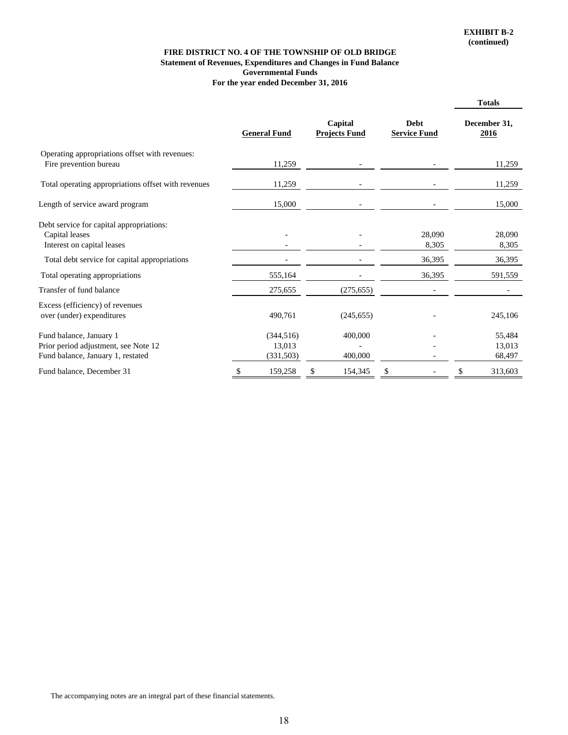#### **Statement of Revenues, Expenditures and Changes in Fund Balance Governmental Funds For the year ended December 31, 2016 FIRE DISTRICT NO. 4 OF THE TOWNSHIP OF OLD BRIDGE**

|                                                                                                      |                                   |                                 |                             | <b>Totals</b>               |
|------------------------------------------------------------------------------------------------------|-----------------------------------|---------------------------------|-----------------------------|-----------------------------|
|                                                                                                      | <b>General Fund</b>               | Capital<br><b>Projects Fund</b> | Debt<br><b>Service Fund</b> | December 31,<br><u>2016</u> |
| Operating appropriations offset with revenues:<br>Fire prevention bureau                             | 11,259                            |                                 |                             | 11,259                      |
| Total operating appropriations offset with revenues                                                  | 11,259                            |                                 |                             | 11,259                      |
| Length of service award program                                                                      | 15,000                            |                                 |                             | 15,000                      |
| Debt service for capital appropriations:<br>Capital leases<br>Interest on capital leases             |                                   |                                 | 28,090<br>8,305             | 28,090<br>8,305             |
| Total debt service for capital appropriations                                                        |                                   |                                 | 36,395                      | 36,395                      |
| Total operating appropriations                                                                       | 555,164                           |                                 | 36,395                      | 591,559                     |
| Transfer of fund balance                                                                             | 275,655                           | (275, 655)                      |                             |                             |
| Excess (efficiency) of revenues<br>over (under) expenditures                                         | 490,761                           | (245, 655)                      |                             | 245,106                     |
| Fund balance, January 1<br>Prior period adjustment, see Note 12<br>Fund balance, January 1, restated | (344, 516)<br>13,013<br>(331,503) | 400,000<br>400,000              |                             | 55,484<br>13,013<br>68,497  |
| Fund balance, December 31                                                                            | \$<br>159,258                     | \$<br>154,345                   | \$                          | \$<br>313,603               |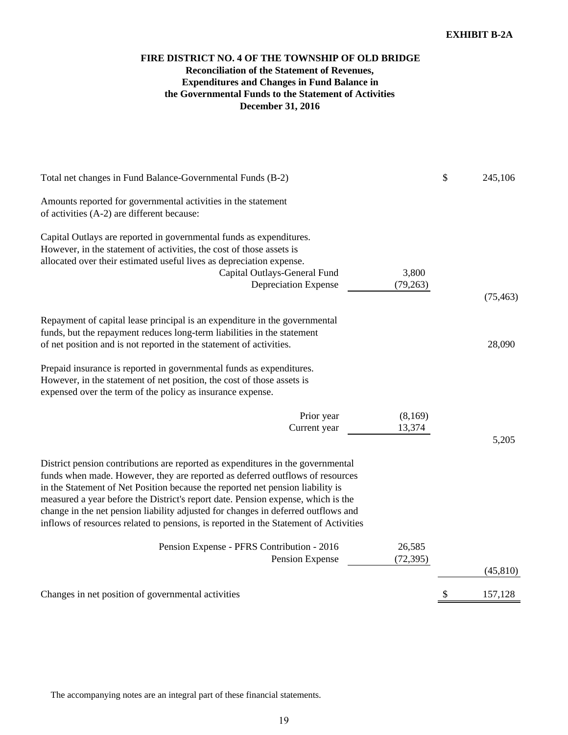#### **EXHIBIT B-2A**

# **December 31, 2016 the Governmental Funds to the Statement of Activities FIRE DISTRICT NO. 4 OF THE TOWNSHIP OF OLD BRIDGE Reconciliation of the Statement of Revenues, Expenditures and Changes in Fund Balance in**

| Total net changes in Fund Balance-Governmental Funds (B-2)                                                                                                                                                                                                                                                                                                                                                                                                                                                          |                     | \$<br>245,106 |
|---------------------------------------------------------------------------------------------------------------------------------------------------------------------------------------------------------------------------------------------------------------------------------------------------------------------------------------------------------------------------------------------------------------------------------------------------------------------------------------------------------------------|---------------------|---------------|
| Amounts reported for governmental activities in the statement<br>of activities (A-2) are different because:                                                                                                                                                                                                                                                                                                                                                                                                         |                     |               |
| Capital Outlays are reported in governmental funds as expenditures.<br>However, in the statement of activities, the cost of those assets is<br>allocated over their estimated useful lives as depreciation expense.<br>Capital Outlays-General Fund                                                                                                                                                                                                                                                                 | 3,800               |               |
| Depreciation Expense                                                                                                                                                                                                                                                                                                                                                                                                                                                                                                | (79,263)            | (75, 463)     |
| Repayment of capital lease principal is an expenditure in the governmental<br>funds, but the repayment reduces long-term liabilities in the statement<br>of net position and is not reported in the statement of activities.                                                                                                                                                                                                                                                                                        |                     | 28,090        |
| Prepaid insurance is reported in governmental funds as expenditures.<br>However, in the statement of net position, the cost of those assets is<br>expensed over the term of the policy as insurance expense.                                                                                                                                                                                                                                                                                                        |                     |               |
| Prior year<br>Current year                                                                                                                                                                                                                                                                                                                                                                                                                                                                                          | (8,169)<br>13,374   | 5,205         |
| District pension contributions are reported as expenditures in the governmental<br>funds when made. However, they are reported as deferred outflows of resources<br>in the Statement of Net Position because the reported net pension liability is<br>measured a year before the District's report date. Pension expense, which is the<br>change in the net pension liability adjusted for changes in deferred outflows and<br>inflows of resources related to pensions, is reported in the Statement of Activities |                     |               |
| Pension Expense - PFRS Contribution - 2016<br>Pension Expense                                                                                                                                                                                                                                                                                                                                                                                                                                                       | 26,585<br>(72, 395) | (45, 810)     |
| Changes in net position of governmental activities                                                                                                                                                                                                                                                                                                                                                                                                                                                                  |                     | \$<br>157,128 |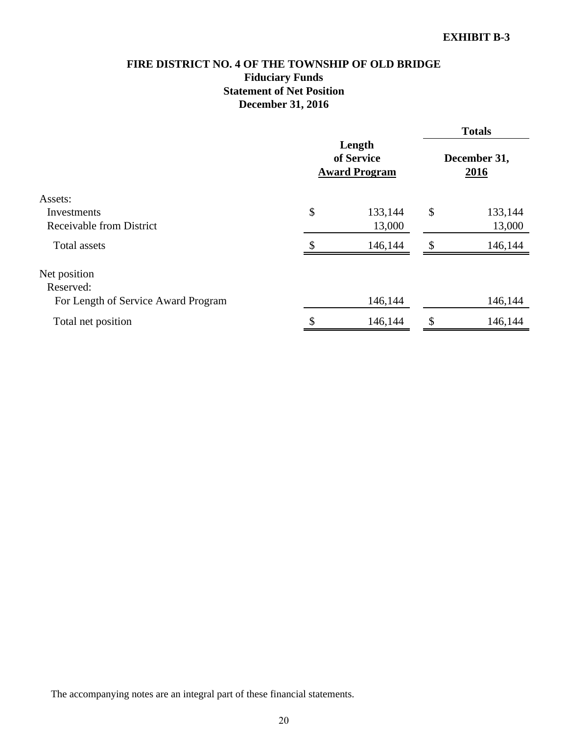# **FIRE DISTRICT NO. 4 OF THE TOWNSHIP OF OLD BRIDGE Fiduciary Funds Statement of Net Position December 31, 2016**

|                                     |                                              |                           | <b>Totals</b> |
|-------------------------------------|----------------------------------------------|---------------------------|---------------|
|                                     | Length<br>of Service<br><b>Award Program</b> | December 31,<br>2016      |               |
| Assets:                             |                                              |                           |               |
| Investments                         | \$<br>133,144                                | \$                        | 133,144       |
| <b>Receivable from District</b>     | 13,000                                       |                           | 13,000        |
| Total assets                        | \$<br>146,144                                | $\boldsymbol{\mathsf{S}}$ | 146,144       |
| Net position<br>Reserved:           |                                              |                           |               |
| For Length of Service Award Program | 146,144                                      |                           | 146,144       |
| Total net position                  | 146,144                                      | \$                        | 146,144       |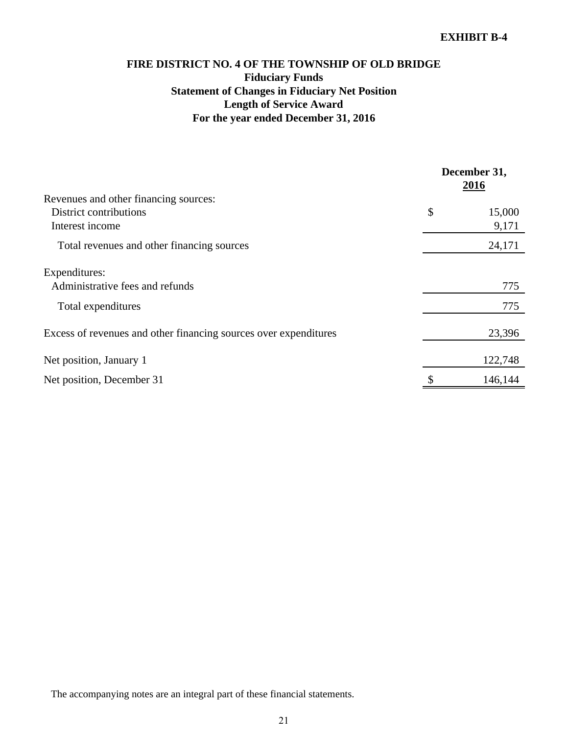#### **EXHIBIT B-4**

# **Length of Service Award FIRE DISTRICT NO. 4 OF THE TOWNSHIP OF OLD BRIDGE Fiduciary Funds Statement of Changes in Fiduciary Net Position For the year ended December 31, 2016**

|                                                                  | December 31,<br>2016 |
|------------------------------------------------------------------|----------------------|
| Revenues and other financing sources:                            |                      |
| District contributions                                           | \$<br>15,000         |
| Interest income                                                  | 9,171                |
| Total revenues and other financing sources                       | 24,171               |
| Expenditures:                                                    |                      |
| Administrative fees and refunds                                  | 775                  |
| Total expenditures                                               | 775                  |
| Excess of revenues and other financing sources over expenditures | 23,396               |
| Net position, January 1                                          | 122,748              |
| Net position, December 31                                        | 146,144              |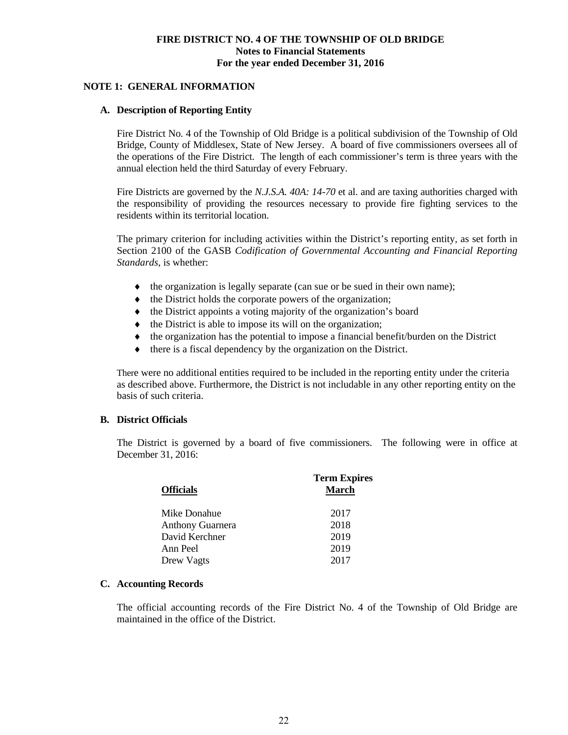#### **NOTE 1: GENERAL INFORMATION**

#### **A. Description of Reporting Entity**

Fire District No. 4 of the Township of Old Bridge is a political subdivision of the Township of Old Bridge, County of Middlesex, State of New Jersey. A board of five commissioners oversees all of the operations of the Fire District. The length of each commissioner's term is three years with the annual election held the third Saturday of every February.

Fire Districts are governed by the *N.J.S.A. 40A: 14-70* et al. and are taxing authorities charged with the responsibility of providing the resources necessary to provide fire fighting services to the residents within its territorial location.

The primary criterion for including activities within the District's reporting entity, as set forth in Section 2100 of the GASB *Codification of Governmental Accounting and Financial Reporting Standards*, is whether:

- the organization is legally separate (can sue or be sued in their own name);
- $\bullet$  the District holds the corporate powers of the organization;
- the District appoints a voting majority of the organization's board
- $\bullet$  the District is able to impose its will on the organization;
- $\bullet$  the organization has the potential to impose a financial benefit/burden on the District
- $\bullet$  there is a fiscal dependency by the organization on the District.

There were no additional entities required to be included in the reporting entity under the criteria as described above. Furthermore, the District is not includable in any other reporting entity on the basis of such criteria.

#### **B. District Officials**

The District is governed by a board of five commissioners. The following were in office at December 31, 2016:

| <b>Officials</b>        | <b>Term Expires</b><br><b>March</b> |
|-------------------------|-------------------------------------|
| Mike Donahue            | 2017                                |
| <b>Anthony Guarnera</b> | 2018                                |
| David Kerchner          | 2019                                |
| Ann Peel                | 2019                                |
| Drew Vagts              | 2017                                |
|                         |                                     |

#### **C. Accounting Records**

The official accounting records of the Fire District No. 4 of the Township of Old Bridge are maintained in the office of the District.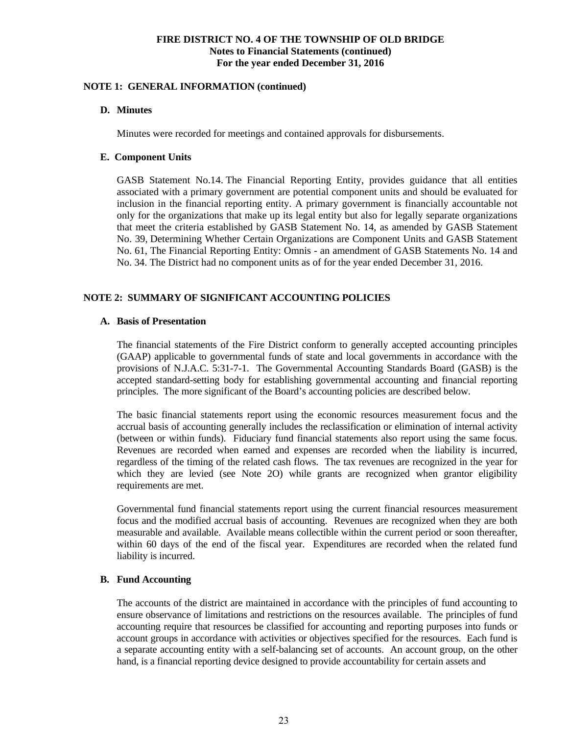# **NOTE 1: GENERAL INFORMATION (continued)**

#### **D. Minutes**

Minutes were recorded for meetings and contained approvals for disbursements.

#### **E. Component Units**

GASB Statement No.14. The Financial Reporting Entity, provides guidance that all entities associated with a primary government are potential component units and should be evaluated for inclusion in the financial reporting entity. A primary government is financially accountable not only for the organizations that make up its legal entity but also for legally separate organizations that meet the criteria established by GASB Statement No. 14, as amended by GASB Statement No. 39, Determining Whether Certain Organizations are Component Units and GASB Statement No. 61, The Financial Reporting Entity: Omnis - an amendment of GASB Statements No. 14 and No. 34. The District had no component units as of for the year ended December 31, 2016.

# **NOTE 2: SUMMARY OF SIGNIFICANT ACCOUNTING POLICIES**

#### **A. Basis of Presentation**

 The financial statements of the Fire District conform to generally accepted accounting principles (GAAP) applicable to governmental funds of state and local governments in accordance with the provisions of N.J.A.C. 5:31-7-1. The Governmental Accounting Standards Board (GASB) is the accepted standard-setting body for establishing governmental accounting and financial reporting principles. The more significant of the Board's accounting policies are described below.

 The basic financial statements report using the economic resources measurement focus and the accrual basis of accounting generally includes the reclassification or elimination of internal activity (between or within funds). Fiduciary fund financial statements also report using the same focus. Revenues are recorded when earned and expenses are recorded when the liability is incurred, regardless of the timing of the related cash flows. The tax revenues are recognized in the year for which they are levied (see Note 2O) while grants are recognized when grantor eligibility requirements are met.

 Governmental fund financial statements report using the current financial resources measurement focus and the modified accrual basis of accounting. Revenues are recognized when they are both measurable and available. Available means collectible within the current period or soon thereafter, within 60 days of the end of the fiscal year. Expenditures are recorded when the related fund liability is incurred.

#### **B. Fund Accounting**

The accounts of the district are maintained in accordance with the principles of fund accounting to ensure observance of limitations and restrictions on the resources available. The principles of fund accounting require that resources be classified for accounting and reporting purposes into funds or account groups in accordance with activities or objectives specified for the resources. Each fund is a separate accounting entity with a self-balancing set of accounts. An account group, on the other hand, is a financial reporting device designed to provide accountability for certain assets and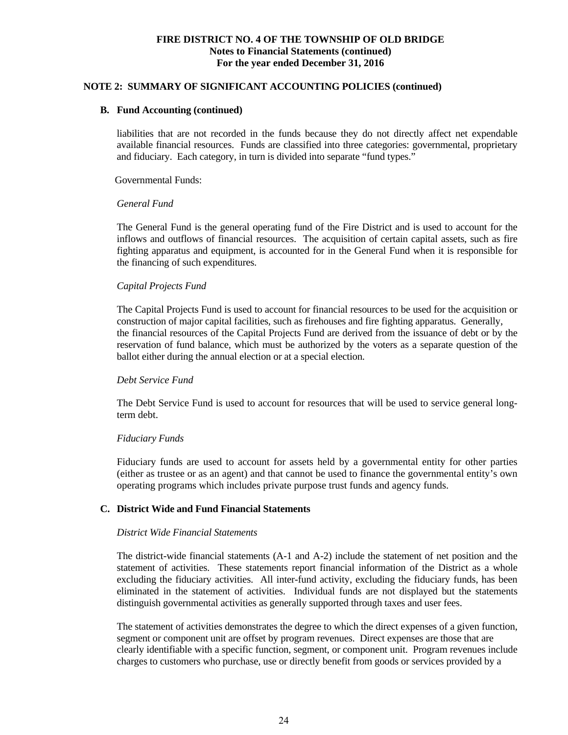#### **NOTE 2: SUMMARY OF SIGNIFICANT ACCOUNTING POLICIES (continued)**

#### **B. Fund Accounting (continued)**

liabilities that are not recorded in the funds because they do not directly affect net expendable available financial resources. Funds are classified into three categories: governmental, proprietary and fiduciary. Each category, in turn is divided into separate "fund types."

Governmental Funds:

#### *General Fund*

The General Fund is the general operating fund of the Fire District and is used to account for the inflows and outflows of financial resources. The acquisition of certain capital assets, such as fire fighting apparatus and equipment, is accounted for in the General Fund when it is responsible for the financing of such expenditures.

#### *Capital Projects Fund*

The Capital Projects Fund is used to account for financial resources to be used for the acquisition or construction of major capital facilities, such as firehouses and fire fighting apparatus. Generally, the financial resources of the Capital Projects Fund are derived from the issuance of debt or by the reservation of fund balance, which must be authorized by the voters as a separate question of the ballot either during the annual election or at a special election.

#### *Debt Service Fund*

The Debt Service Fund is used to account for resources that will be used to service general longterm debt.

#### *Fiduciary Funds*

Fiduciary funds are used to account for assets held by a governmental entity for other parties (either as trustee or as an agent) and that cannot be used to finance the governmental entity's own operating programs which includes private purpose trust funds and agency funds.

#### **C. District Wide and Fund Financial Statements**

#### *District Wide Financial Statements*

The district-wide financial statements (A-1 and A-2) include the statement of net position and the statement of activities. These statements report financial information of the District as a whole excluding the fiduciary activities. All inter-fund activity, excluding the fiduciary funds, has been eliminated in the statement of activities. Individual funds are not displayed but the statements distinguish governmental activities as generally supported through taxes and user fees.

The statement of activities demonstrates the degree to which the direct expenses of a given function, segment or component unit are offset by program revenues. Direct expenses are those that are clearly identifiable with a specific function, segment, or component unit. Program revenues include charges to customers who purchase, use or directly benefit from goods or services provided by a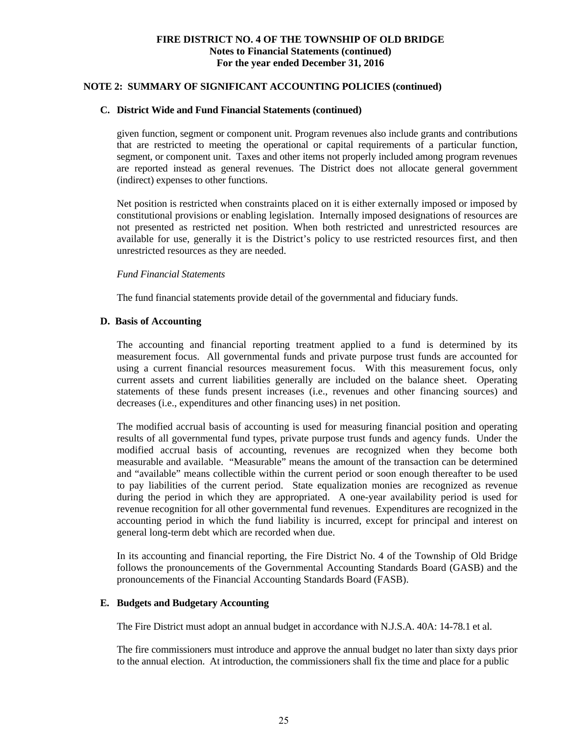#### **NOTE 2: SUMMARY OF SIGNIFICANT ACCOUNTING POLICIES (continued)**

#### **C. District Wide and Fund Financial Statements (continued)**

given function, segment or component unit. Program revenues also include grants and contributions that are restricted to meeting the operational or capital requirements of a particular function, segment, or component unit. Taxes and other items not properly included among program revenues are reported instead as general revenues. The District does not allocate general government (indirect) expenses to other functions.

Net position is restricted when constraints placed on it is either externally imposed or imposed by constitutional provisions or enabling legislation. Internally imposed designations of resources are not presented as restricted net position. When both restricted and unrestricted resources are available for use, generally it is the District's policy to use restricted resources first, and then unrestricted resources as they are needed.

#### *Fund Financial Statements*

The fund financial statements provide detail of the governmental and fiduciary funds.

#### **D. Basis of Accounting**

The accounting and financial reporting treatment applied to a fund is determined by its measurement focus. All governmental funds and private purpose trust funds are accounted for using a current financial resources measurement focus. With this measurement focus, only current assets and current liabilities generally are included on the balance sheet. Operating statements of these funds present increases (i.e., revenues and other financing sources) and decreases (i.e., expenditures and other financing uses) in net position.

The modified accrual basis of accounting is used for measuring financial position and operating results of all governmental fund types, private purpose trust funds and agency funds. Under the modified accrual basis of accounting, revenues are recognized when they become both measurable and available. "Measurable" means the amount of the transaction can be determined and "available" means collectible within the current period or soon enough thereafter to be used to pay liabilities of the current period. State equalization monies are recognized as revenue during the period in which they are appropriated. A one-year availability period is used for revenue recognition for all other governmental fund revenues. Expenditures are recognized in the accounting period in which the fund liability is incurred, except for principal and interest on general long-term debt which are recorded when due.

In its accounting and financial reporting, the Fire District No. 4 of the Township of Old Bridge follows the pronouncements of the Governmental Accounting Standards Board (GASB) and the pronouncements of the Financial Accounting Standards Board (FASB).

#### **E. Budgets and Budgetary Accounting**

The Fire District must adopt an annual budget in accordance with N.J.S.A. 40A: 14-78.1 et al.

The fire commissioners must introduce and approve the annual budget no later than sixty days prior to the annual election. At introduction, the commissioners shall fix the time and place for a public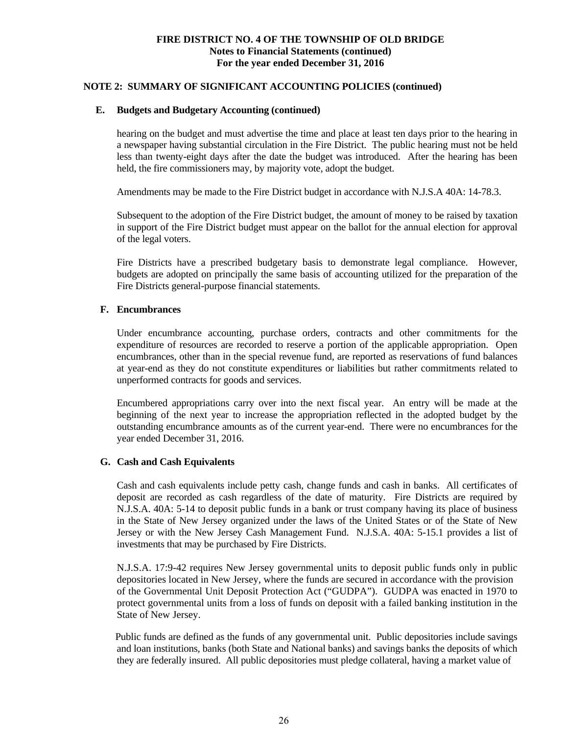#### **NOTE 2: SUMMARY OF SIGNIFICANT ACCOUNTING POLICIES (continued)**

#### **E. Budgets and Budgetary Accounting (continued)**

hearing on the budget and must advertise the time and place at least ten days prior to the hearing in a newspaper having substantial circulation in the Fire District. The public hearing must not be held less than twenty-eight days after the date the budget was introduced. After the hearing has been held, the fire commissioners may, by majority vote, adopt the budget.

Amendments may be made to the Fire District budget in accordance with N.J.S.A 40A: 14-78.3.

Subsequent to the adoption of the Fire District budget, the amount of money to be raised by taxation in support of the Fire District budget must appear on the ballot for the annual election for approval of the legal voters.

Fire Districts have a prescribed budgetary basis to demonstrate legal compliance. However, budgets are adopted on principally the same basis of accounting utilized for the preparation of the Fire Districts general-purpose financial statements.

#### **F. Encumbrances**

 Under encumbrance accounting, purchase orders, contracts and other commitments for the expenditure of resources are recorded to reserve a portion of the applicable appropriation. Open encumbrances, other than in the special revenue fund, are reported as reservations of fund balances at year-end as they do not constitute expenditures or liabilities but rather commitments related to unperformed contracts for goods and services.

 Encumbered appropriations carry over into the next fiscal year. An entry will be made at the beginning of the next year to increase the appropriation reflected in the adopted budget by the outstanding encumbrance amounts as of the current year-end. There were no encumbrances for the year ended December 31, 2016.

#### **G. Cash and Cash Equivalents**

 Cash and cash equivalents include petty cash, change funds and cash in banks. All certificates of deposit are recorded as cash regardless of the date of maturity. Fire Districts are required by N.J.S.A. 40A: 5-14 to deposit public funds in a bank or trust company having its place of business in the State of New Jersey organized under the laws of the United States or of the State of New Jersey or with the New Jersey Cash Management Fund. N.J.S.A. 40A: 5-15.1 provides a list of investments that may be purchased by Fire Districts.

 N.J.S.A. 17:9-42 requires New Jersey governmental units to deposit public funds only in public depositories located in New Jersey, where the funds are secured in accordance with the provision of the Governmental Unit Deposit Protection Act ("GUDPA"). GUDPA was enacted in 1970 to protect governmental units from a loss of funds on deposit with a failed banking institution in the State of New Jersey.

 Public funds are defined as the funds of any governmental unit. Public depositories include savings and loan institutions, banks (both State and National banks) and savings banks the deposits of which they are federally insured. All public depositories must pledge collateral, having a market value of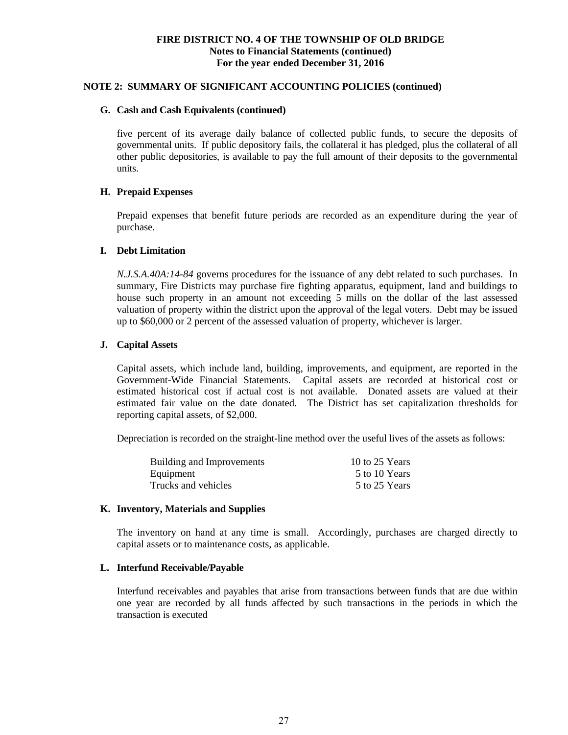#### **NOTE 2: SUMMARY OF SIGNIFICANT ACCOUNTING POLICIES (continued)**

#### **G. Cash and Cash Equivalents (continued)**

 five percent of its average daily balance of collected public funds, to secure the deposits of governmental units. If public depository fails, the collateral it has pledged, plus the collateral of all other public depositories, is available to pay the full amount of their deposits to the governmental units.

#### **H. Prepaid Expenses**

Prepaid expenses that benefit future periods are recorded as an expenditure during the year of purchase.

#### **I. Debt Limitation**

*N.J.S.A.40A:14-84* governs procedures for the issuance of any debt related to such purchases. In summary, Fire Districts may purchase fire fighting apparatus, equipment, land and buildings to house such property in an amount not exceeding 5 mills on the dollar of the last assessed valuation of property within the district upon the approval of the legal voters. Debt may be issued up to \$60,000 or 2 percent of the assessed valuation of property, whichever is larger.

#### **J. Capital Assets**

Capital assets, which include land, building, improvements, and equipment, are reported in the Government-Wide Financial Statements. Capital assets are recorded at historical cost or estimated historical cost if actual cost is not available. Donated assets are valued at their estimated fair value on the date donated. The District has set capitalization thresholds for reporting capital assets, of \$2,000.

Depreciation is recorded on the straight-line method over the useful lives of the assets as follows:

| Building and Improvements | 10 to 25 Years |
|---------------------------|----------------|
| Equipment                 | 5 to 10 Years  |
| Trucks and vehicles       | 5 to 25 Years  |

#### **K. Inventory, Materials and Supplies**

The inventory on hand at any time is small. Accordingly, purchases are charged directly to capital assets or to maintenance costs, as applicable.

#### **L. Interfund Receivable/Payable**

Interfund receivables and payables that arise from transactions between funds that are due within one year are recorded by all funds affected by such transactions in the periods in which the transaction is executed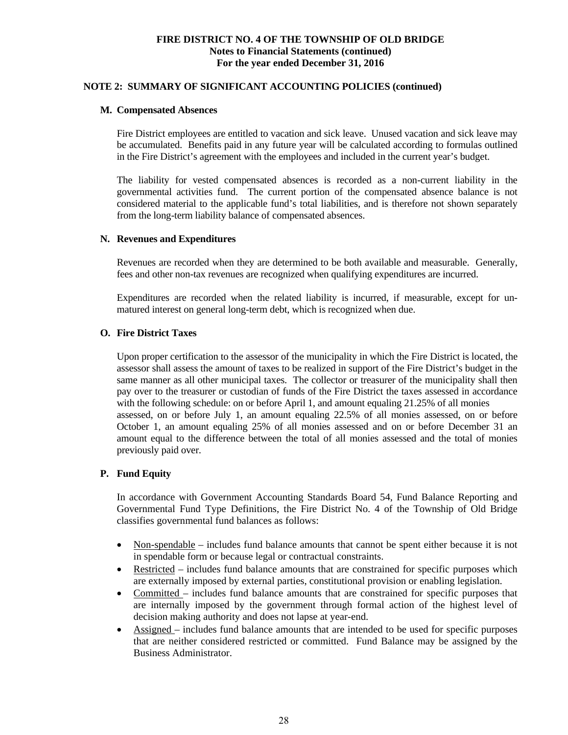#### **NOTE 2: SUMMARY OF SIGNIFICANT ACCOUNTING POLICIES (continued)**

#### **M. Compensated Absences**

Fire District employees are entitled to vacation and sick leave. Unused vacation and sick leave may be accumulated. Benefits paid in any future year will be calculated according to formulas outlined in the Fire District's agreement with the employees and included in the current year's budget.

The liability for vested compensated absences is recorded as a non-current liability in the governmental activities fund. The current portion of the compensated absence balance is not considered material to the applicable fund's total liabilities, and is therefore not shown separately from the long-term liability balance of compensated absences.

#### **N. Revenues and Expenditures**

Revenues are recorded when they are determined to be both available and measurable. Generally, fees and other non-tax revenues are recognized when qualifying expenditures are incurred.

Expenditures are recorded when the related liability is incurred, if measurable, except for unmatured interest on general long-term debt, which is recognized when due.

#### **O. Fire District Taxes**

Upon proper certification to the assessor of the municipality in which the Fire District is located, the assessor shall assess the amount of taxes to be realized in support of the Fire District's budget in the same manner as all other municipal taxes. The collector or treasurer of the municipality shall then pay over to the treasurer or custodian of funds of the Fire District the taxes assessed in accordance with the following schedule: on or before April 1, and amount equaling 21.25% of all monies assessed, on or before July 1, an amount equaling 22.5% of all monies assessed, on or before October 1, an amount equaling 25% of all monies assessed and on or before December 31 an amount equal to the difference between the total of all monies assessed and the total of monies previously paid over.

#### **P. Fund Equity**

In accordance with Government Accounting Standards Board 54, Fund Balance Reporting and Governmental Fund Type Definitions, the Fire District No. 4 of the Township of Old Bridge classifies governmental fund balances as follows:

- Non-spendable includes fund balance amounts that cannot be spent either because it is not in spendable form or because legal or contractual constraints.
- Restricted includes fund balance amounts that are constrained for specific purposes which are externally imposed by external parties, constitutional provision or enabling legislation.
- Committed includes fund balance amounts that are constrained for specific purposes that are internally imposed by the government through formal action of the highest level of decision making authority and does not lapse at year-end.
- Assigned includes fund balance amounts that are intended to be used for specific purposes that are neither considered restricted or committed. Fund Balance may be assigned by the Business Administrator.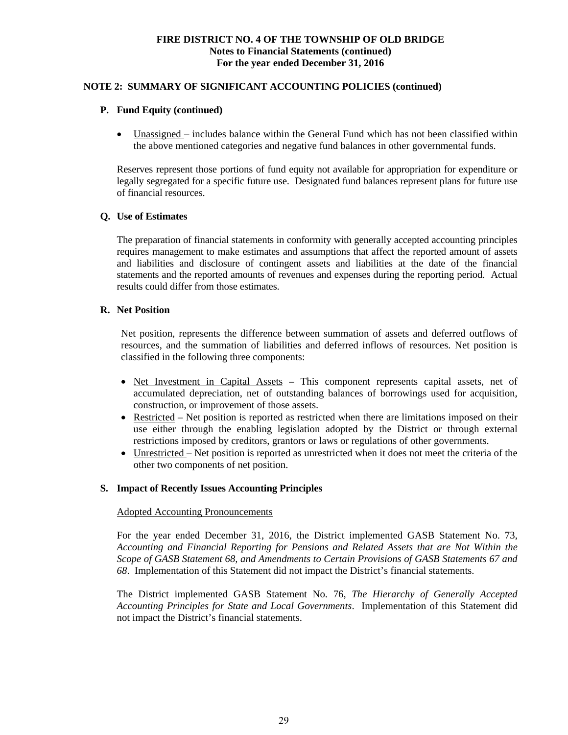#### **NOTE 2: SUMMARY OF SIGNIFICANT ACCOUNTING POLICIES (continued)**

#### **P. Fund Equity (continued)**

 Unassigned – includes balance within the General Fund which has not been classified within the above mentioned categories and negative fund balances in other governmental funds.

Reserves represent those portions of fund equity not available for appropriation for expenditure or legally segregated for a specific future use. Designated fund balances represent plans for future use of financial resources.

#### **Q. Use of Estimates**

The preparation of financial statements in conformity with generally accepted accounting principles requires management to make estimates and assumptions that affect the reported amount of assets and liabilities and disclosure of contingent assets and liabilities at the date of the financial statements and the reported amounts of revenues and expenses during the reporting period. Actual results could differ from those estimates.

#### **R. Net Position**

Net position, represents the difference between summation of assets and deferred outflows of resources, and the summation of liabilities and deferred inflows of resources. Net position is classified in the following three components:

- Net Investment in Capital Assets This component represents capital assets, net of accumulated depreciation, net of outstanding balances of borrowings used for acquisition, construction, or improvement of those assets.
- Restricted Net position is reported as restricted when there are limitations imposed on their use either through the enabling legislation adopted by the District or through external restrictions imposed by creditors, grantors or laws or regulations of other governments.
- Unrestricted Net position is reported as unrestricted when it does not meet the criteria of the other two components of net position.

#### **S. Impact of Recently Issues Accounting Principles**

#### Adopted Accounting Pronouncements

For the year ended December 31, 2016, the District implemented GASB Statement No. 73, *Accounting and Financial Reporting for Pensions and Related Assets that are Not Within the Scope of GASB Statement 68, and Amendments to Certain Provisions of GASB Statements 67 and 68*. Implementation of this Statement did not impact the District's financial statements.

The District implemented GASB Statement No. 76, *The Hierarchy of Generally Accepted Accounting Principles for State and Local Governments*. Implementation of this Statement did not impact the District's financial statements.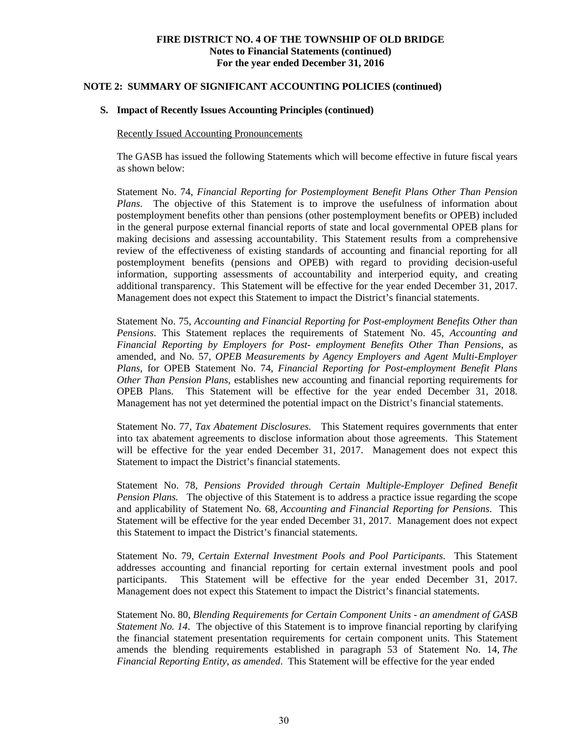#### **NOTE 2: SUMMARY OF SIGNIFICANT ACCOUNTING POLICIES (continued)**

#### **S. Impact of Recently Issues Accounting Principles (continued)**

#### Recently Issued Accounting Pronouncements

The GASB has issued the following Statements which will become effective in future fiscal years as shown below:

Statement No. 74, *Financial Reporting for Postemployment Benefit Plans Other Than Pension Plans*. The objective of this Statement is to improve the usefulness of information about postemployment benefits other than pensions (other postemployment benefits or OPEB) included in the general purpose external financial reports of state and local governmental OPEB plans for making decisions and assessing accountability. This Statement results from a comprehensive review of the effectiveness of existing standards of accounting and financial reporting for all postemployment benefits (pensions and OPEB) with regard to providing decision-useful information, supporting assessments of accountability and interperiod equity, and creating additional transparency. This Statement will be effective for the year ended December 31, 2017. Management does not expect this Statement to impact the District's financial statements.

Statement No. 75, *Accounting and Financial Reporting for Post-employment Benefits Other than Pensions*. This Statement replaces the requirements of Statement No. 45, *Accounting and Financial Reporting by Employers for Post- employment Benefits Other Than Pensions*, as amended, and No. 57*, OPEB Measurements by Agency Employers and Agent Multi-Employer Plans*, for OPEB Statement No. 74, *Financial Reporting for Post-employment Benefit Plans Other Than Pension Plans*, establishes new accounting and financial reporting requirements for OPEB Plans. This Statement will be effective for the year ended December 31, 2018. Management has not yet determined the potential impact on the District's financial statements.

Statement No. 77, *Tax Abatement Disclosures.* This Statement requires governments that enter into tax abatement agreements to disclose information about those agreements. This Statement will be effective for the year ended December 31, 2017. Management does not expect this Statement to impact the District's financial statements.

Statement No. 78, *Pensions Provided through Certain Multiple-Employer Defined Benefit Pension Plans.* The objective of this Statement is to address a practice issue regarding the scope and applicability of Statement No. 68, *Accounting and Financial Reporting for Pensions*. This Statement will be effective for the year ended December 31, 2017. Management does not expect this Statement to impact the District's financial statements.

Statement No. 79, *Certain External Investment Pools and Pool Participants*. This Statement addresses accounting and financial reporting for certain external investment pools and pool participants. This Statement will be effective for the year ended December 31, 2017. Management does not expect this Statement to impact the District's financial statements.

Statement No. 80, *Blending Requirements for Certain Component Units - an amendment of GASB Statement No. 14.* The objective of this Statement is to improve financial reporting by clarifying the financial statement presentation requirements for certain component units. This Statement amends the blending requirements established in paragraph 53 of Statement No. 14, *The Financial Reporting Entity, as amended*. This Statement will be effective for the year ended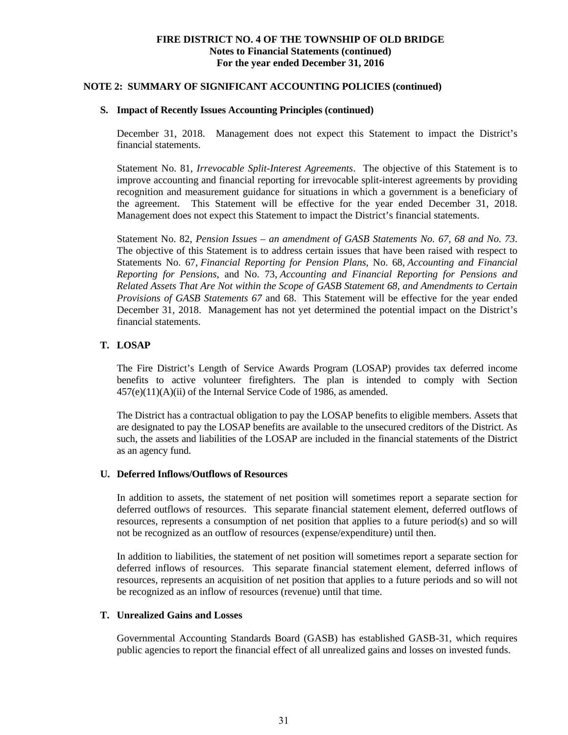#### **NOTE 2: SUMMARY OF SIGNIFICANT ACCOUNTING POLICIES (continued)**

#### **S. Impact of Recently Issues Accounting Principles (continued)**

December 31, 2018. Management does not expect this Statement to impact the District's financial statements.

Statement No. 81, *Irrevocable Split-Interest Agreements*. The objective of this Statement is to improve accounting and financial reporting for irrevocable split-interest agreements by providing recognition and measurement guidance for situations in which a government is a beneficiary of the agreement. This Statement will be effective for the year ended December 31, 2018. Management does not expect this Statement to impact the District's financial statements.

Statement No. 82, *Pension Issues – an amendment of GASB Statements No. 67, 68 and No. 73*. The objective of this Statement is to address certain issues that have been raised with respect to Statements No. 67, *Financial Reporting for Pension Plans*, No. 68, *Accounting and Financial Reporting for Pensions*, and No. 73, *Accounting and Financial Reporting for Pensions and Related Assets That Are Not within the Scope of GASB Statement 68, and Amendments to Certain Provisions of GASB Statements 67* and 68. This Statement will be effective for the year ended December 31, 2018. Management has not yet determined the potential impact on the District's financial statements.

#### **T. LOSAP**

The Fire District's Length of Service Awards Program (LOSAP) provides tax deferred income benefits to active volunteer firefighters. The plan is intended to comply with Section  $457(e)(11)(A)(ii)$  of the Internal Service Code of 1986, as amended.

The District has a contractual obligation to pay the LOSAP benefits to eligible members. Assets that are designated to pay the LOSAP benefits are available to the unsecured creditors of the District. As such, the assets and liabilities of the LOSAP are included in the financial statements of the District as an agency fund.

#### **U. Deferred Inflows/Outflows of Resources**

In addition to assets, the statement of net position will sometimes report a separate section for deferred outflows of resources. This separate financial statement element, deferred outflows of resources, represents a consumption of net position that applies to a future period(s) and so will not be recognized as an outflow of resources (expense/expenditure) until then.

In addition to liabilities, the statement of net position will sometimes report a separate section for deferred inflows of resources. This separate financial statement element, deferred inflows of resources, represents an acquisition of net position that applies to a future periods and so will not be recognized as an inflow of resources (revenue) until that time.

#### **T. Unrealized Gains and Losses**

Governmental Accounting Standards Board (GASB) has established GASB-31, which requires public agencies to report the financial effect of all unrealized gains and losses on invested funds.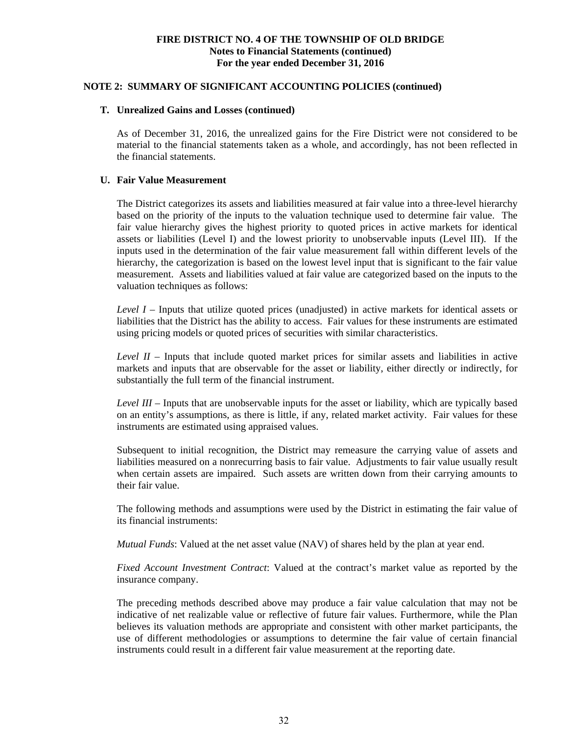#### **NOTE 2: SUMMARY OF SIGNIFICANT ACCOUNTING POLICIES (continued)**

#### **T. Unrealized Gains and Losses (continued)**

As of December 31, 2016, the unrealized gains for the Fire District were not considered to be material to the financial statements taken as a whole, and accordingly, has not been reflected in the financial statements.

#### **U. Fair Value Measurement**

The District categorizes its assets and liabilities measured at fair value into a three-level hierarchy based on the priority of the inputs to the valuation technique used to determine fair value. The fair value hierarchy gives the highest priority to quoted prices in active markets for identical assets or liabilities (Level I) and the lowest priority to unobservable inputs (Level III). If the inputs used in the determination of the fair value measurement fall within different levels of the hierarchy, the categorization is based on the lowest level input that is significant to the fair value measurement. Assets and liabilities valued at fair value are categorized based on the inputs to the valuation techniques as follows:

*Level I –* Inputs that utilize quoted prices (unadjusted) in active markets for identical assets or liabilities that the District has the ability to access. Fair values for these instruments are estimated using pricing models or quoted prices of securities with similar characteristics.

*Level II –* Inputs that include quoted market prices for similar assets and liabilities in active markets and inputs that are observable for the asset or liability, either directly or indirectly, for substantially the full term of the financial instrument.

*Level III –* Inputs that are unobservable inputs for the asset or liability, which are typically based on an entity's assumptions, as there is little, if any, related market activity. Fair values for these instruments are estimated using appraised values.

Subsequent to initial recognition, the District may remeasure the carrying value of assets and liabilities measured on a nonrecurring basis to fair value. Adjustments to fair value usually result when certain assets are impaired. Such assets are written down from their carrying amounts to their fair value.

The following methods and assumptions were used by the District in estimating the fair value of its financial instruments:

*Mutual Funds*: Valued at the net asset value (NAV) of shares held by the plan at year end.

*Fixed Account Investment Contract*: Valued at the contract's market value as reported by the insurance company.

The preceding methods described above may produce a fair value calculation that may not be indicative of net realizable value or reflective of future fair values. Furthermore, while the Plan believes its valuation methods are appropriate and consistent with other market participants, the use of different methodologies or assumptions to determine the fair value of certain financial instruments could result in a different fair value measurement at the reporting date.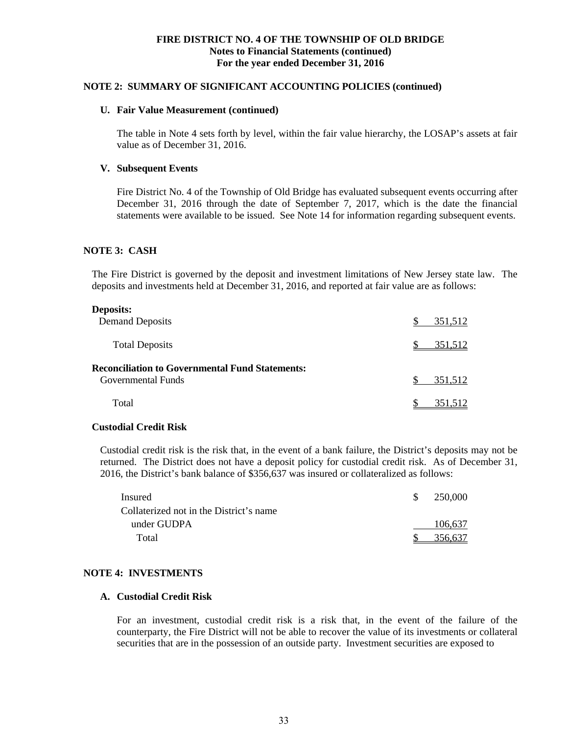#### **NOTE 2: SUMMARY OF SIGNIFICANT ACCOUNTING POLICIES (continued)**

#### **U. Fair Value Measurement (continued)**

The table in Note 4 sets forth by level, within the fair value hierarchy, the LOSAP's assets at fair value as of December 31, 2016.

#### **V. Subsequent Events**

Fire District No. 4 of the Township of Old Bridge has evaluated subsequent events occurring after December 31, 2016 through the date of September 7, 2017, which is the date the financial statements were available to be issued. See Note 14 for information regarding subsequent events.

#### **NOTE 3: CASH**

The Fire District is governed by the deposit and investment limitations of New Jersey state law. The deposits and investments held at December 31, 2016, and reported at fair value are as follows:

| <b>Deposits:</b>                                                             |              |
|------------------------------------------------------------------------------|--------------|
| <b>Demand Deposits</b>                                                       | 351,512<br>S |
| <b>Total Deposits</b>                                                        | 351.512      |
| <b>Reconciliation to Governmental Fund Statements:</b><br>Governmental Funds | 351,512      |
| Total                                                                        |              |

#### **Custodial Credit Risk**

Custodial credit risk is the risk that, in the event of a bank failure, the District's deposits may not be returned. The District does not have a deposit policy for custodial credit risk. As of December 31, 2016, the District's bank balance of \$356,637 was insured or collateralized as follows:

| Insured                                 | 250,000 |
|-----------------------------------------|---------|
| Collaterized not in the District's name |         |
| under GUDPA                             | 106.637 |
| Total                                   | 356.637 |

#### **NOTE 4: INVESTMENTS**

#### **A. Custodial Credit Risk**

For an investment, custodial credit risk is a risk that, in the event of the failure of the counterparty, the Fire District will not be able to recover the value of its investments or collateral securities that are in the possession of an outside party. Investment securities are exposed to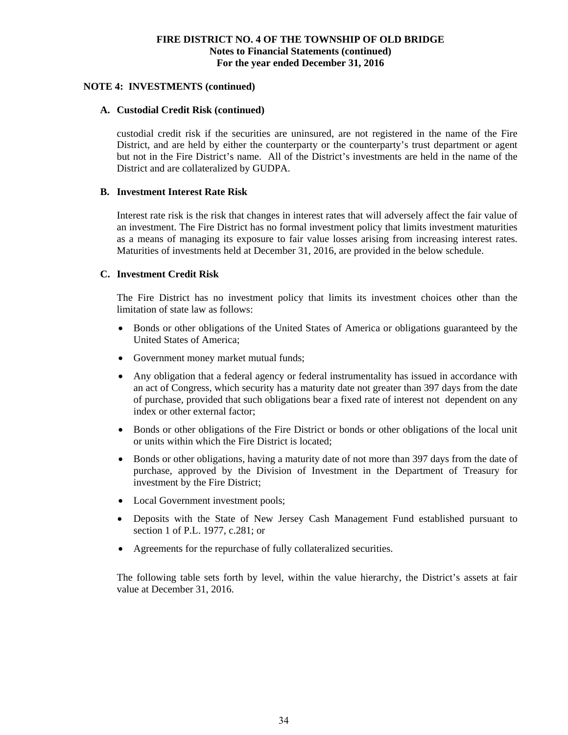#### **NOTE 4: INVESTMENTS (continued)**

#### **A. Custodial Credit Risk (continued)**

custodial credit risk if the securities are uninsured, are not registered in the name of the Fire District, and are held by either the counterparty or the counterparty's trust department or agent but not in the Fire District's name. All of the District's investments are held in the name of the District and are collateralized by GUDPA.

#### **B. Investment Interest Rate Risk**

Interest rate risk is the risk that changes in interest rates that will adversely affect the fair value of an investment. The Fire District has no formal investment policy that limits investment maturities as a means of managing its exposure to fair value losses arising from increasing interest rates. Maturities of investments held at December 31, 2016, are provided in the below schedule.

#### **C. Investment Credit Risk**

The Fire District has no investment policy that limits its investment choices other than the limitation of state law as follows:

- Bonds or other obligations of the United States of America or obligations guaranteed by the United States of America;
- Government money market mutual funds;
- Any obligation that a federal agency or federal instrumentality has issued in accordance with an act of Congress, which security has a maturity date not greater than 397 days from the date of purchase, provided that such obligations bear a fixed rate of interest not dependent on any index or other external factor;
- Bonds or other obligations of the Fire District or bonds or other obligations of the local unit or units within which the Fire District is located;
- Bonds or other obligations, having a maturity date of not more than 397 days from the date of purchase, approved by the Division of Investment in the Department of Treasury for investment by the Fire District;
- Local Government investment pools;
- Deposits with the State of New Jersey Cash Management Fund established pursuant to section 1 of P.L. 1977, c.281; or
- Agreements for the repurchase of fully collateralized securities.

The following table sets forth by level, within the value hierarchy, the District's assets at fair value at December 31, 2016.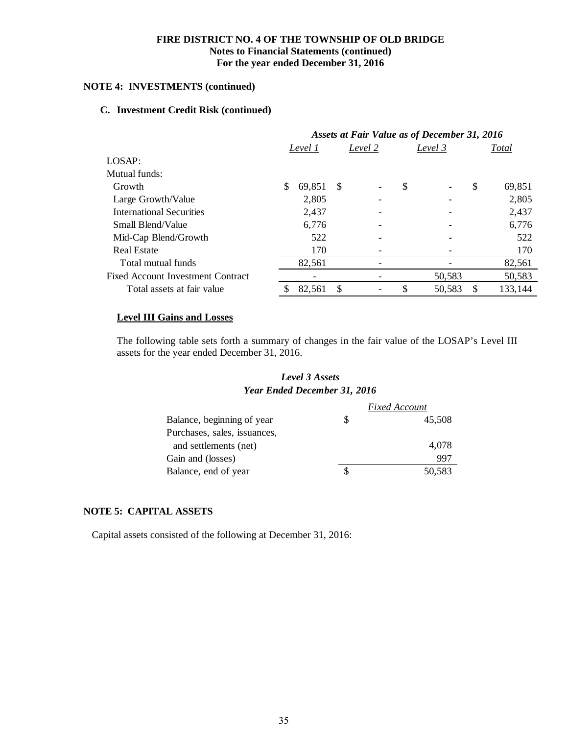#### **NOTE 4: INVESTMENTS (continued)**

#### **C. Investment Credit Risk (continued)**

|                                          | Assets at Fair Value as of December 31, 2016 |        |    |         |         |        |              |         |
|------------------------------------------|----------------------------------------------|--------|----|---------|---------|--------|--------------|---------|
|                                          | Level 1                                      |        |    | Level 2 | Level 3 |        | <b>Total</b> |         |
| LOSAP:                                   |                                              |        |    |         |         |        |              |         |
| Mutual funds:                            |                                              |        |    |         |         |        |              |         |
| Growth                                   | \$                                           | 69,851 | -S |         | \$      |        | \$           | 69,851  |
| Large Growth/Value                       |                                              | 2,805  |    |         |         |        |              | 2,805   |
| <b>International Securities</b>          |                                              | 2,437  |    |         |         |        |              | 2,437   |
| Small Blend/Value                        |                                              | 6,776  |    |         |         |        |              | 6,776   |
| Mid-Cap Blend/Growth                     |                                              | 522    |    |         |         |        |              | 522     |
| <b>Real Estate</b>                       |                                              | 170    |    |         |         |        |              | 170     |
| Total mutual funds                       |                                              | 82,561 |    |         |         |        |              | 82,561  |
| <b>Fixed Account Investment Contract</b> |                                              | -      |    |         |         | 50,583 |              | 50,583  |
| Total assets at fair value               |                                              | 82,561 | \$ |         | \$      | 50,583 | \$           | 133,144 |

# **Level III Gains and Losses**

The following table sets forth a summary of changes in the fair value of the LOSAP's Level III assets for the year ended December 31, 2016.

# *Year Ended December 31, 2016 Level 3 Assets*

|                              | <b>Fixed Account</b> |        |  |
|------------------------------|----------------------|--------|--|
| Balance, beginning of year   | \$                   | 45,508 |  |
| Purchases, sales, issuances, |                      |        |  |
| and settlements (net)        |                      | 4,078  |  |
| Gain and (losses)            |                      | 997    |  |
| Balance, end of year         | S                    | 50,583 |  |
|                              |                      |        |  |

# **NOTE 5: CAPITAL ASSETS**

Capital assets consisted of the following at December 31, 2016: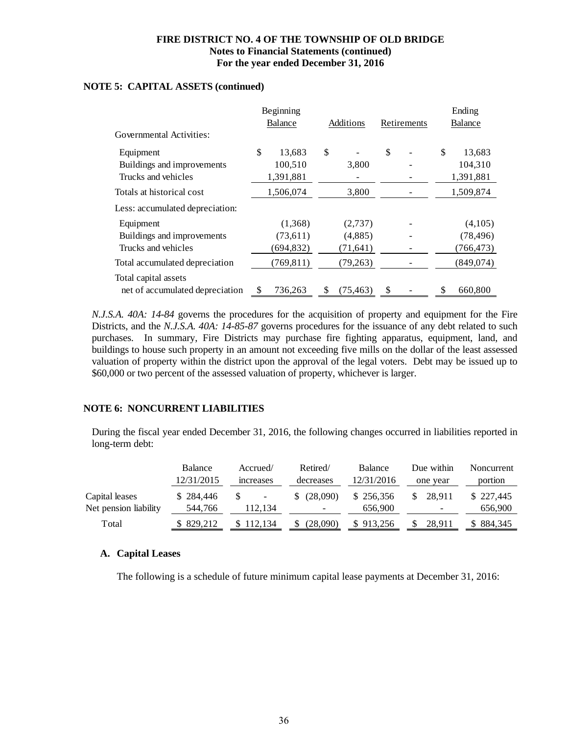#### **NOTE 5: CAPITAL ASSETS (continued)**

|                                 | Beginning<br>Balance | Additions       | Retirements | Ending<br><b>Balance</b> |
|---------------------------------|----------------------|-----------------|-------------|--------------------------|
| Governmental Activities:        |                      |                 |             |                          |
| Equipment                       | \$<br>13,683         | \$              | \$          | \$<br>13,683             |
| Buildings and improvements      | 100,510              | 3,800           |             | 104,310                  |
| Trucks and vehicles             | 1,391,881            |                 |             | 1,391,881                |
| Totals at historical cost       | 1,506,074            | 3,800           |             | 1,509,874                |
| Less: accumulated depreciation: |                      |                 |             |                          |
| Equipment                       | (1,368)              | (2,737)         |             | (4,105)                  |
| Buildings and improvements      | (73,611)             | (4,885)         |             | (78, 496)                |
| Trucks and vehicles             | (694, 832)           | (71, 641)       |             | (766, 473)               |
| Total accumulated depreciation  | (769, 811)           | (79, 263)       |             | (849,074)                |
| Total capital assets            |                      |                 |             |                          |
| net of accumulated depreciation | \$<br>736,263        | \$<br>(75, 463) | \$          | \$<br>660,800            |

*N.J.S.A. 40A: 14-84* governs the procedures for the acquisition of property and equipment for the Fire Districts, and the *N.J.S.A. 40A: 14-85-87* governs procedures for the issuance of any debt related to such purchases. In summary, Fire Districts may purchase fire fighting apparatus, equipment, land, and buildings to house such property in an amount not exceeding five mills on the dollar of the least assessed valuation of property within the district upon the approval of the legal voters. Debt may be issued up to \$60,000 or two percent of the assessed valuation of property, whichever is larger.

# **NOTE 6: NONCURRENT LIABILITIES**

During the fiscal year ended December 31, 2016, the following changes occurred in liabilities reported in long-term debt:

|                       | <b>Balance</b><br>12/31/2015 | Accrued/<br>mcreases     | Retired/<br>decreases    | <b>Balance</b><br>12/31/2016 | Due within<br>one year   | Noncurrent<br>portion |
|-----------------------|------------------------------|--------------------------|--------------------------|------------------------------|--------------------------|-----------------------|
| Capital leases        | \$284,446                    | $\overline{\phantom{a}}$ | \$ (28.090)              | \$256,356                    | 28.911<br>S.             | \$227,445             |
| Net pension liability | 544,766                      | 112,134                  | $\overline{\phantom{a}}$ | 656,900                      | $\overline{\phantom{a}}$ | 656,900               |
| Total                 | \$ 829,212                   | 112.134                  | (28,090)                 | \$913,256                    | 28.911                   | \$ 884,345            |

#### **A. Capital Leases**

The following is a schedule of future minimum capital lease payments at December 31, 2016: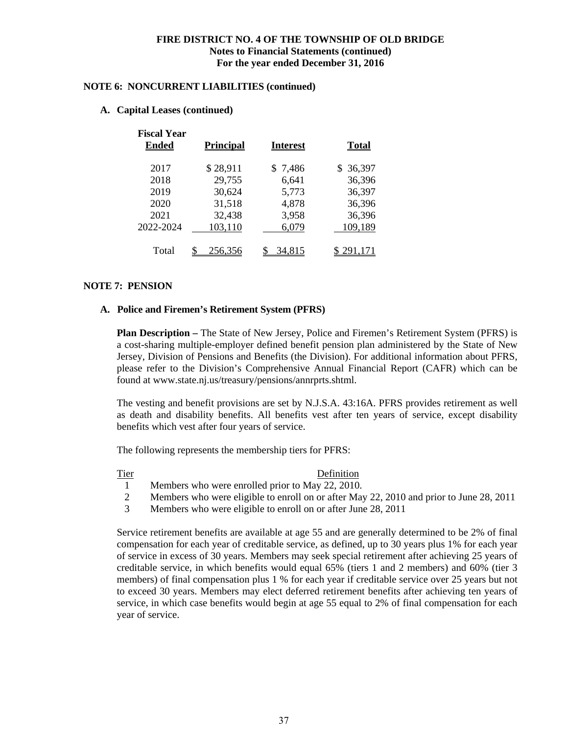# **NOTE 6: NONCURRENT LIABILITIES (continued)**

#### **A. Capital Leases (continued)**

| <b>Fiscal Year</b><br><b>Ended</b> | <b>Principal</b> | <b>Interest</b> | <b>Total</b> |
|------------------------------------|------------------|-----------------|--------------|
| 2017                               | \$28,911         | \$7,486         | \$36,397     |
| 2018                               | 29,755           | 6,641           | 36,396       |
| 2019                               | 30,624           | 5,773           | 36,397       |
| 2020                               | 31,518           | 4,878           | 36,396       |
| 2021                               | 32,438           | 3,958           | 36,396       |
| 2022-2024                          | 103,110          | 6,079           | 109,189      |
| Total                              | 256.356          | 34,815          |              |

#### **NOTE 7: PENSION**

#### **A. Police and Firemen's Retirement System (PFRS)**

**Plan Description –** The State of New Jersey, Police and Firemen's Retirement System (PFRS) is a cost-sharing multiple-employer defined benefit pension plan administered by the State of New Jersey, Division of Pensions and Benefits (the Division). For additional information about PFRS, please refer to the Division's Comprehensive Annual Financial Report (CAFR) which can be found at www.state.nj.us/treasury/pensions/annrprts.shtml.

The vesting and benefit provisions are set by N.J.S.A. 43:16A. PFRS provides retirement as well as death and disability benefits. All benefits vest after ten years of service, except disability benefits which vest after four years of service.

The following represents the membership tiers for PFRS:

#### Tier Definition

- 1 Members who were enrolled prior to May 22, 2010.
- 2 Members who were eligible to enroll on or after May 22, 2010 and prior to June 28, 2011
- 3 Members who were eligible to enroll on or after June 28, 2011

Service retirement benefits are available at age 55 and are generally determined to be 2% of final compensation for each year of creditable service, as defined, up to 30 years plus 1% for each year of service in excess of 30 years. Members may seek special retirement after achieving 25 years of creditable service, in which benefits would equal 65% (tiers 1 and 2 members) and 60% (tier 3 members) of final compensation plus 1 % for each year if creditable service over 25 years but not to exceed 30 years. Members may elect deferred retirement benefits after achieving ten years of service, in which case benefits would begin at age 55 equal to 2% of final compensation for each year of service.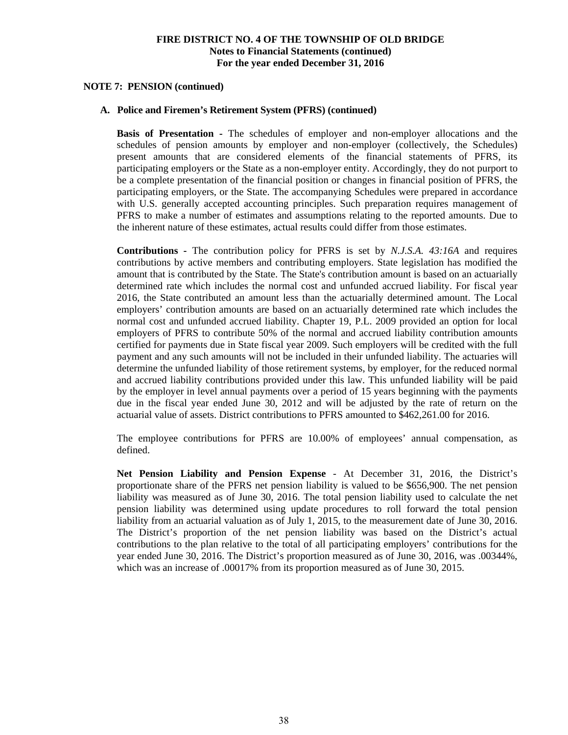#### **NOTE 7: PENSION (continued)**

#### **A. Police and Firemen's Retirement System (PFRS) (continued)**

**Basis of Presentation -** The schedules of employer and non-employer allocations and the schedules of pension amounts by employer and non-employer (collectively, the Schedules) present amounts that are considered elements of the financial statements of PFRS, its participating employers or the State as a non-employer entity. Accordingly, they do not purport to be a complete presentation of the financial position or changes in financial position of PFRS, the participating employers, or the State. The accompanying Schedules were prepared in accordance with U.S. generally accepted accounting principles. Such preparation requires management of PFRS to make a number of estimates and assumptions relating to the reported amounts. Due to the inherent nature of these estimates, actual results could differ from those estimates.

**Contributions -** The contribution policy for PFRS is set by *N.J.S.A. 43:16A* and requires contributions by active members and contributing employers. State legislation has modified the amount that is contributed by the State. The State's contribution amount is based on an actuarially determined rate which includes the normal cost and unfunded accrued liability. For fiscal year 2016, the State contributed an amount less than the actuarially determined amount. The Local employers' contribution amounts are based on an actuarially determined rate which includes the normal cost and unfunded accrued liability. Chapter 19, P.L. 2009 provided an option for local employers of PFRS to contribute 50% of the normal and accrued liability contribution amounts certified for payments due in State fiscal year 2009. Such employers will be credited with the full payment and any such amounts will not be included in their unfunded liability. The actuaries will determine the unfunded liability of those retirement systems, by employer, for the reduced normal and accrued liability contributions provided under this law. This unfunded liability will be paid by the employer in level annual payments over a period of 15 years beginning with the payments due in the fiscal year ended June 30, 2012 and will be adjusted by the rate of return on the actuarial value of assets. District contributions to PFRS amounted to \$462,261.00 for 2016.

The employee contributions for PFRS are 10.00% of employees' annual compensation, as defined.

**Net Pension Liability and Pension Expense** - At December 31, 2016, the District's proportionate share of the PFRS net pension liability is valued to be \$656,900. The net pension liability was measured as of June 30, 2016. The total pension liability used to calculate the net pension liability was determined using update procedures to roll forward the total pension liability from an actuarial valuation as of July 1, 2015, to the measurement date of June 30, 2016. The District's proportion of the net pension liability was based on the District's actual contributions to the plan relative to the total of all participating employers' contributions for the year ended June 30, 2016. The District's proportion measured as of June 30, 2016, was .00344%, which was an increase of .00017% from its proportion measured as of June 30, 2015.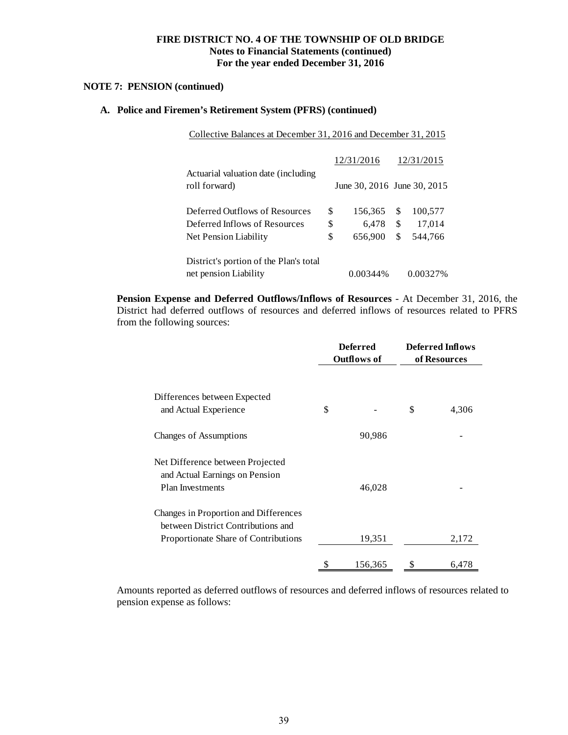#### **NOTE 7: PENSION (continued)**

#### **A. Police and Firemen's Retirement System (PFRS) (continued)**

| Collective Balances at December 31, 2016 and December 31, 2015  |    |                             |            |          |  |  |  |
|-----------------------------------------------------------------|----|-----------------------------|------------|----------|--|--|--|
| Actuarial valuation date (including                             |    | 12/31/2016                  | 12/31/2015 |          |  |  |  |
| roll forward)                                                   |    | June 30, 2016 June 30, 2015 |            |          |  |  |  |
| Deferred Outflows of Resources                                  | \$ | 156,365                     | \$.        | 100,577  |  |  |  |
| Deferred Inflows of Resources                                   | \$ | 6,478                       | \$         | 17.014   |  |  |  |
| Net Pension Liability                                           | \$ | 656,900                     | \$         | 544.766  |  |  |  |
| District's portion of the Plan's total<br>net pension Liability |    | 0.00344%                    |            | 0.00327% |  |  |  |

**Pension Expense and Deferred Outflows/Inflows of Resources** - At December 31, 2016, the District had deferred outflows of resources and deferred inflows of resources related to PFRS from the following sources:

|                                                                    |    | <b>Deferred</b><br><b>Outflows of</b> | <b>Deferred Inflows</b><br>of Resources |       |  |
|--------------------------------------------------------------------|----|---------------------------------------|-----------------------------------------|-------|--|
|                                                                    |    |                                       |                                         |       |  |
| Differences between Expected                                       |    |                                       |                                         |       |  |
| and Actual Experience                                              | \$ |                                       | \$                                      | 4,306 |  |
| Changes of Assumptions                                             |    | 90,986                                |                                         |       |  |
| Net Difference between Projected<br>and Actual Earnings on Pension |    |                                       |                                         |       |  |
| <b>Plan Investments</b>                                            |    | 46,028                                |                                         |       |  |
| Changes in Proportion and Differences                              |    |                                       |                                         |       |  |
| between District Contributions and                                 |    |                                       |                                         |       |  |
| Proportionate Share of Contributions                               |    | 19,351                                |                                         | 2,172 |  |
|                                                                    | S  | 156,365                               | S                                       | 6,478 |  |

Amounts reported as deferred outflows of resources and deferred inflows of resources related to pension expense as follows: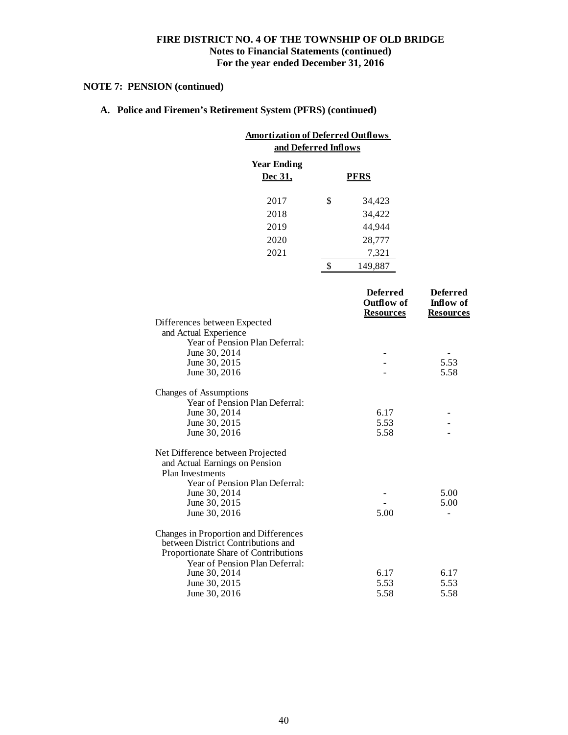#### **NOTE 7: PENSION (continued)**

# **A. Police and Firemen's Retirement System (PFRS) (continued)**

| <b>Amortization of Deferred Outflows</b>                                                                                                                                           |                                                          |                                                  |
|------------------------------------------------------------------------------------------------------------------------------------------------------------------------------------|----------------------------------------------------------|--------------------------------------------------|
| and Deferred Inflows                                                                                                                                                               |                                                          |                                                  |
| <b>Year Ending</b>                                                                                                                                                                 |                                                          |                                                  |
| Dec 31,                                                                                                                                                                            | <b>PFRS</b>                                              |                                                  |
| 2017                                                                                                                                                                               | \$<br>34,423                                             |                                                  |
| 2018                                                                                                                                                                               | 34,422                                                   |                                                  |
| 2019                                                                                                                                                                               | 44,944                                                   |                                                  |
| 2020                                                                                                                                                                               | 28,777                                                   |                                                  |
| 2021                                                                                                                                                                               | 7,321                                                    |                                                  |
|                                                                                                                                                                                    | \$<br>149,887                                            |                                                  |
|                                                                                                                                                                                    |                                                          |                                                  |
|                                                                                                                                                                                    | <b>Deferred</b><br><b>Outflow of</b><br><b>Resources</b> | <b>Deferred</b><br>Inflow of<br><b>Resources</b> |
| Differences between Expected<br>and Actual Experience<br>Year of Pension Plan Deferral:<br>June 30, 2014<br>June 30, 2015<br>June 30, 2016                                         |                                                          | 5.53<br>5.58                                     |
| Changes of Assumptions<br>Year of Pension Plan Deferral:<br>June 30, 2014<br>June 30, 2015<br>June 30, 2016                                                                        | 6.17<br>5.53<br>5.58                                     |                                                  |
| Net Difference between Projected<br>and Actual Earnings on Pension<br><b>Plan Investments</b><br>Year of Pension Plan Deferral:<br>June 30, 2014<br>June 30, 2015<br>June 30, 2016 | 5.00                                                     | 5.00<br>5.00<br>$\overline{\phantom{0}}$         |
| Changes in Proportion and Differences<br>between District Contributions and<br>Proportionate Share of Contributions<br>Year of Pension Plan Deferral:                              |                                                          |                                                  |
| June 30, 2014<br>June 30, 2015                                                                                                                                                     | 6.17<br>5.53                                             | 6.17<br>5.53                                     |
| June 30, 2016                                                                                                                                                                      | 5.58                                                     | 5.58                                             |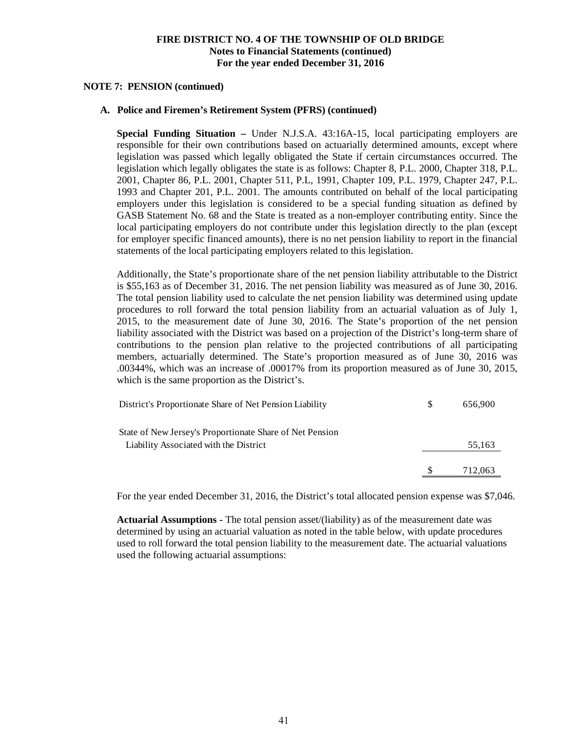#### **NOTE 7: PENSION (continued)**

#### **A. Police and Firemen's Retirement System (PFRS) (continued)**

**Special Funding Situation –** Under N.J.S.A. 43:16A-15, local participating employers are responsible for their own contributions based on actuarially determined amounts, except where legislation was passed which legally obligated the State if certain circumstances occurred. The legislation which legally obligates the state is as follows: Chapter 8, P.L. 2000, Chapter 318, P.L. 2001, Chapter 86, P.L. 2001, Chapter 511, P.L, 1991, Chapter 109, P.L. 1979, Chapter 247, P.L. 1993 and Chapter 201, P.L. 2001. The amounts contributed on behalf of the local participating employers under this legislation is considered to be a special funding situation as defined by GASB Statement No. 68 and the State is treated as a non-employer contributing entity. Since the local participating employers do not contribute under this legislation directly to the plan (except for employer specific financed amounts), there is no net pension liability to report in the financial statements of the local participating employers related to this legislation.

Additionally, the State's proportionate share of the net pension liability attributable to the District is \$55,163 as of December 31, 2016. The net pension liability was measured as of June 30, 2016. The total pension liability used to calculate the net pension liability was determined using update procedures to roll forward the total pension liability from an actuarial valuation as of July 1, 2015, to the measurement date of June 30, 2016. The State's proportion of the net pension liability associated with the District was based on a projection of the District's long-term share of contributions to the pension plan relative to the projected contributions of all participating members, actuarially determined. The State's proportion measured as of June 30, 2016 was .00344%, which was an increase of .00017% from its proportion measured as of June 30, 2015, which is the same proportion as the District's.

| District's Proportionate Share of Net Pension Liability  | \$. | 656.900 |
|----------------------------------------------------------|-----|---------|
| State of New Jersey's Proportionate Share of Net Pension |     |         |
| Liability Associated with the District                   |     | 55,163  |
|                                                          |     | 712,063 |

For the year ended December 31, 2016, the District's total allocated pension expense was \$7,046.

**Actuarial Assumptions -** The total pension asset/(liability) as of the measurement date was determined by using an actuarial valuation as noted in the table below, with update procedures used to roll forward the total pension liability to the measurement date. The actuarial valuations used the following actuarial assumptions: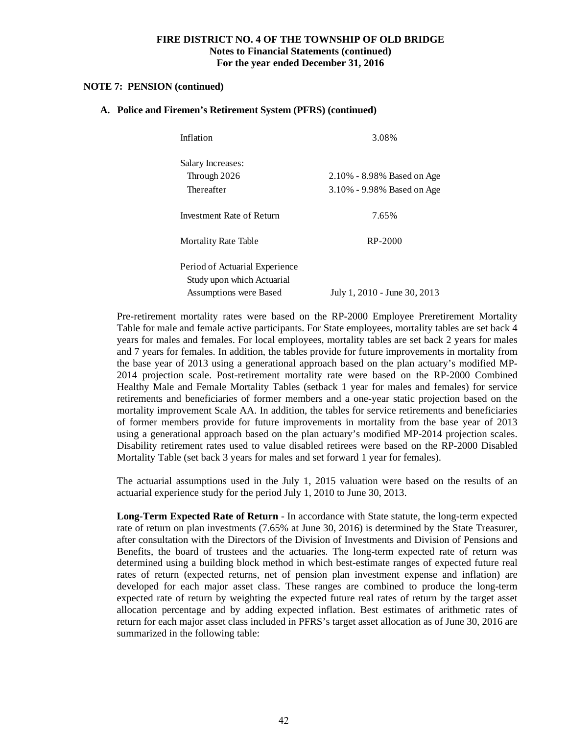#### **NOTE 7: PENSION (continued)**

#### **A. Police and Firemen's Retirement System (PFRS) (continued)**

| Inflation                                                    | 3.08%                        |  |  |  |  |
|--------------------------------------------------------------|------------------------------|--|--|--|--|
| Salary Increases:                                            |                              |  |  |  |  |
| Through 2026                                                 | 2.10% - 8.98% Based on Age   |  |  |  |  |
| Thereafter                                                   | 3.10% - 9.98% Based on Age   |  |  |  |  |
| Investment Rate of Return                                    | 7.65%                        |  |  |  |  |
| <b>Mortality Rate Table</b>                                  | RP-2000                      |  |  |  |  |
| Period of Actuarial Experience<br>Study upon which Actuarial |                              |  |  |  |  |
| <b>Assumptions were Based</b>                                | July 1, 2010 - June 30, 2013 |  |  |  |  |

Pre-retirement mortality rates were based on the RP-2000 Employee Preretirement Mortality Table for male and female active participants. For State employees, mortality tables are set back 4 years for males and females. For local employees, mortality tables are set back 2 years for males and 7 years for females. In addition, the tables provide for future improvements in mortality from the base year of 2013 using a generational approach based on the plan actuary's modified MP-2014 projection scale. Post-retirement mortality rate were based on the RP-2000 Combined Healthy Male and Female Mortality Tables (setback 1 year for males and females) for service retirements and beneficiaries of former members and a one-year static projection based on the mortality improvement Scale AA. In addition, the tables for service retirements and beneficiaries of former members provide for future improvements in mortality from the base year of 2013 using a generational approach based on the plan actuary's modified MP-2014 projection scales. Disability retirement rates used to value disabled retirees were based on the RP-2000 Disabled Mortality Table (set back 3 years for males and set forward 1 year for females).

The actuarial assumptions used in the July 1, 2015 valuation were based on the results of an actuarial experience study for the period July 1, 2010 to June 30, 2013.

**Long-Term Expected Rate of Return** - In accordance with State statute, the long-term expected rate of return on plan investments (7.65% at June 30, 2016) is determined by the State Treasurer, after consultation with the Directors of the Division of Investments and Division of Pensions and Benefits, the board of trustees and the actuaries. The long-term expected rate of return was determined using a building block method in which best-estimate ranges of expected future real rates of return (expected returns, net of pension plan investment expense and inflation) are developed for each major asset class. These ranges are combined to produce the long-term expected rate of return by weighting the expected future real rates of return by the target asset allocation percentage and by adding expected inflation. Best estimates of arithmetic rates of return for each major asset class included in PFRS's target asset allocation as of June 30, 2016 are summarized in the following table: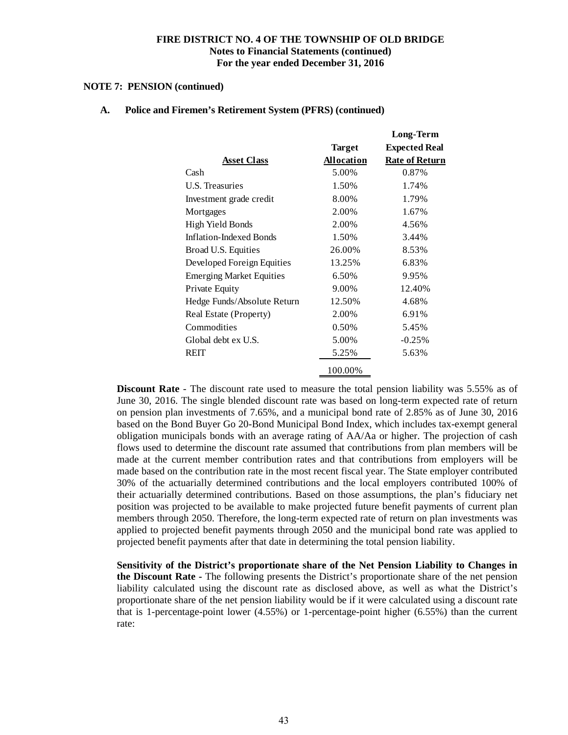#### **NOTE 7: PENSION (continued)**

#### **A. Police and Firemen's Retirement System (PFRS) (continued)**

|                                 |                   | Long-Term             |
|---------------------------------|-------------------|-----------------------|
|                                 | <b>Target</b>     | <b>Expected Real</b>  |
| <u>Asset Class</u>              | <b>Allocation</b> | <b>Rate of Return</b> |
| Cash                            | 5.00%             | 0.87%                 |
| U.S. Treasuries                 | 1.50%             | 1.74%                 |
| Investment grade credit         | 8.00%             | 1.79%                 |
| Mortgages                       | 2.00%             | 1.67%                 |
| High Yield Bonds                | 2.00%             | 4.56%                 |
| <b>Inflation-Indexed Bonds</b>  | 1.50%             | 3.44%                 |
| Broad U.S. Equities             | 26.00%            | 8.53%                 |
| Developed Foreign Equities      | 13.25%            | 6.83%                 |
| <b>Emerging Market Equities</b> | 6.50%             | 9.95%                 |
| Private Equity                  | 9.00%             | 12.40%                |
| Hedge Funds/Absolute Return     | 12.50%            | 4.68%                 |
| Real Estate (Property)          | 2.00%             | 6.91%                 |
| Commodities                     | 0.50%             | 5.45%                 |
| Global debt ex U.S.             | 5.00%             | $-0.25%$              |
| REIT                            | 5.25%             | 5.63%                 |
|                                 | 100.00%           |                       |

**Discount Rate** - The discount rate used to measure the total pension liability was 5.55% as of June 30, 2016. The single blended discount rate was based on long-term expected rate of return on pension plan investments of 7.65%, and a municipal bond rate of 2.85% as of June 30, 2016 based on the Bond Buyer Go 20-Bond Municipal Bond Index, which includes tax-exempt general obligation municipals bonds with an average rating of AA/Aa or higher. The projection of cash flows used to determine the discount rate assumed that contributions from plan members will be made at the current member contribution rates and that contributions from employers will be made based on the contribution rate in the most recent fiscal year. The State employer contributed 30% of the actuarially determined contributions and the local employers contributed 100% of their actuarially determined contributions. Based on those assumptions, the plan's fiduciary net position was projected to be available to make projected future benefit payments of current plan members through 2050. Therefore, the long-term expected rate of return on plan investments was applied to projected benefit payments through 2050 and the municipal bond rate was applied to projected benefit payments after that date in determining the total pension liability.

**Sensitivity of the District's proportionate share of the Net Pension Liability to Changes in the Discount Rate -** The following presents the District's proportionate share of the net pension liability calculated using the discount rate as disclosed above, as well as what the District's proportionate share of the net pension liability would be if it were calculated using a discount rate that is 1-percentage-point lower  $(4.55%)$  or 1-percentage-point higher  $(6.55%)$  than the current rate: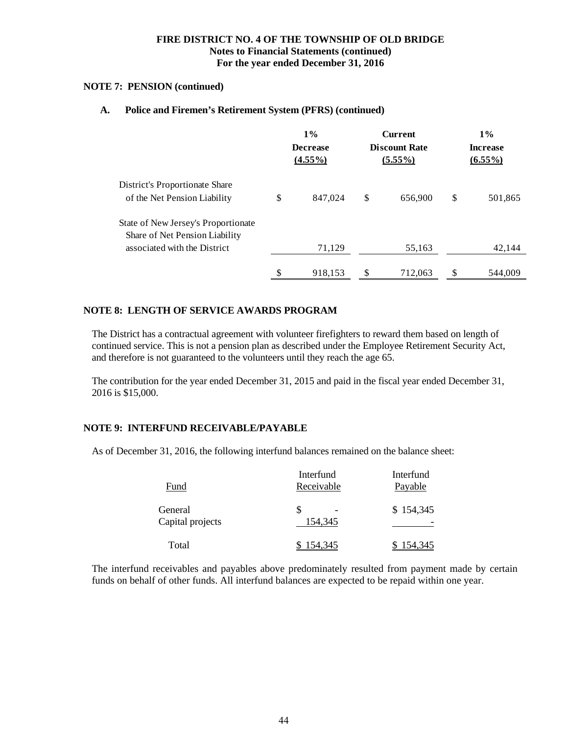#### **NOTE 7: PENSION (continued)**

#### **A. Police and Firemen's Retirement System (PFRS) (continued)**

|                                                                       |               | $1\%$<br><b>Decrease</b><br>$(4.55\%)$ | <b>Current</b><br><b>Discount Rate</b><br>$(5.55\%)$ |         | $1\%$<br><b>Increase</b><br>$(6.55\%)$ |
|-----------------------------------------------------------------------|---------------|----------------------------------------|------------------------------------------------------|---------|----------------------------------------|
| District's Proportionate Share<br>of the Net Pension Liability        | <sup>\$</sup> | 847.024                                | \$                                                   | 656.900 | \$<br>501,865                          |
| State of New Jersey's Proportionate<br>Share of Net Pension Liability |               |                                        |                                                      |         |                                        |
| associated with the District                                          |               | 71,129                                 |                                                      | 55,163  | 42,144                                 |
|                                                                       | \$            | 918,153                                | \$                                                   | 712.063 | \$<br>544.009                          |

#### **NOTE 8: LENGTH OF SERVICE AWARDS PROGRAM**

The District has a contractual agreement with volunteer firefighters to reward them based on length of continued service. This is not a pension plan as described under the Employee Retirement Security Act, and therefore is not guaranteed to the volunteers until they reach the age 65.

The contribution for the year ended December 31, 2015 and paid in the fiscal year ended December 31, 2016 is \$15,000.

#### **NOTE 9: INTERFUND RECEIVABLE/PAYABLE**

As of December 31, 2016, the following interfund balances remained on the balance sheet:

| Fund                        | Interfund<br>Receivable | Interfund<br>Payable |
|-----------------------------|-------------------------|----------------------|
| General<br>Capital projects | -<br>154,345            | \$154,345            |
| Total                       | 154.345                 | 154,345              |

The interfund receivables and payables above predominately resulted from payment made by certain funds on behalf of other funds. All interfund balances are expected to be repaid within one year.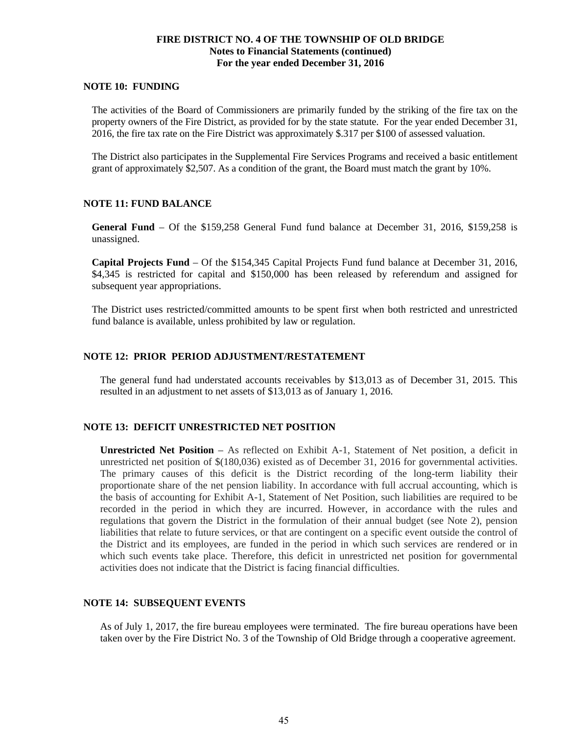#### **NOTE 10: FUNDING**

The activities of the Board of Commissioners are primarily funded by the striking of the fire tax on the property owners of the Fire District, as provided for by the state statute. For the year ended December 31, 2016, the fire tax rate on the Fire District was approximately \$.317 per \$100 of assessed valuation.

The District also participates in the Supplemental Fire Services Programs and received a basic entitlement grant of approximately \$2,507. As a condition of the grant, the Board must match the grant by 10%.

#### **NOTE 11: FUND BALANCE**

**General Fund** – Of the \$159,258 General Fund fund balance at December 31, 2016, \$159,258 is unassigned.

**Capital Projects Fund** – Of the \$154,345 Capital Projects Fund fund balance at December 31, 2016, \$4,345 is restricted for capital and \$150,000 has been released by referendum and assigned for subsequent year appropriations.

The District uses restricted/committed amounts to be spent first when both restricted and unrestricted fund balance is available, unless prohibited by law or regulation.

#### **NOTE 12: PRIOR PERIOD ADJUSTMENT/RESTATEMENT**

The general fund had understated accounts receivables by \$13,013 as of December 31, 2015. This resulted in an adjustment to net assets of \$13,013 as of January 1, 2016.

#### **NOTE 13: DEFICIT UNRESTRICTED NET POSITION**

**Unrestricted Net Position** – As reflected on Exhibit A-1, Statement of Net position, a deficit in unrestricted net position of \$(180,036) existed as of December 31, 2016 for governmental activities. The primary causes of this deficit is the District recording of the long-term liability their proportionate share of the net pension liability. In accordance with full accrual accounting, which is the basis of accounting for Exhibit A-1, Statement of Net Position, such liabilities are required to be recorded in the period in which they are incurred. However, in accordance with the rules and regulations that govern the District in the formulation of their annual budget (see Note 2), pension liabilities that relate to future services, or that are contingent on a specific event outside the control of the District and its employees, are funded in the period in which such services are rendered or in which such events take place. Therefore, this deficit in unrestricted net position for governmental activities does not indicate that the District is facing financial difficulties.

#### **NOTE 14: SUBSEQUENT EVENTS**

As of July 1, 2017, the fire bureau employees were terminated. The fire bureau operations have been taken over by the Fire District No. 3 of the Township of Old Bridge through a cooperative agreement.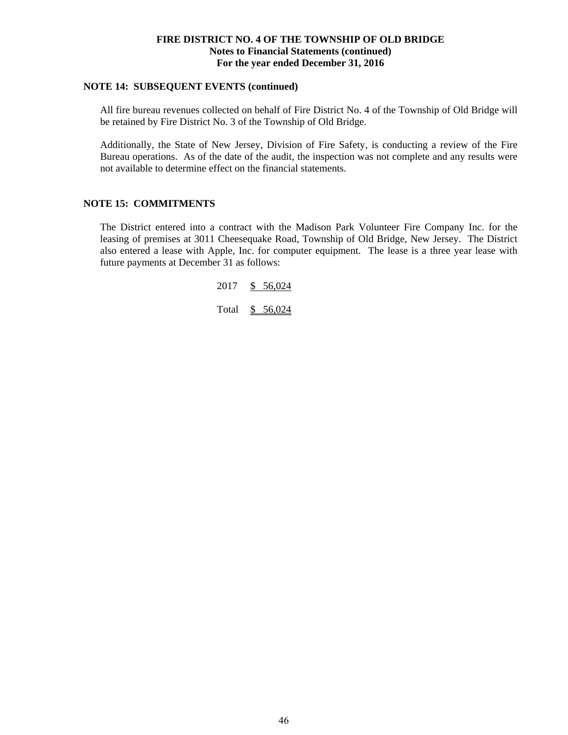#### **NOTE 14: SUBSEQUENT EVENTS (continued)**

All fire bureau revenues collected on behalf of Fire District No. 4 of the Township of Old Bridge will be retained by Fire District No. 3 of the Township of Old Bridge.

Additionally, the State of New Jersey, Division of Fire Safety, is conducting a review of the Fire Bureau operations. As of the date of the audit, the inspection was not complete and any results were not available to determine effect on the financial statements.

#### **NOTE 15: COMMITMENTS**

The District entered into a contract with the Madison Park Volunteer Fire Company Inc. for the leasing of premises at 3011 Cheesequake Road, Township of Old Bridge, New Jersey. The District also entered a lease with Apple, Inc. for computer equipment. The lease is a three year lease with future payments at December 31 as follows:

> 2017 \$ 56,024 Total \$ 56,024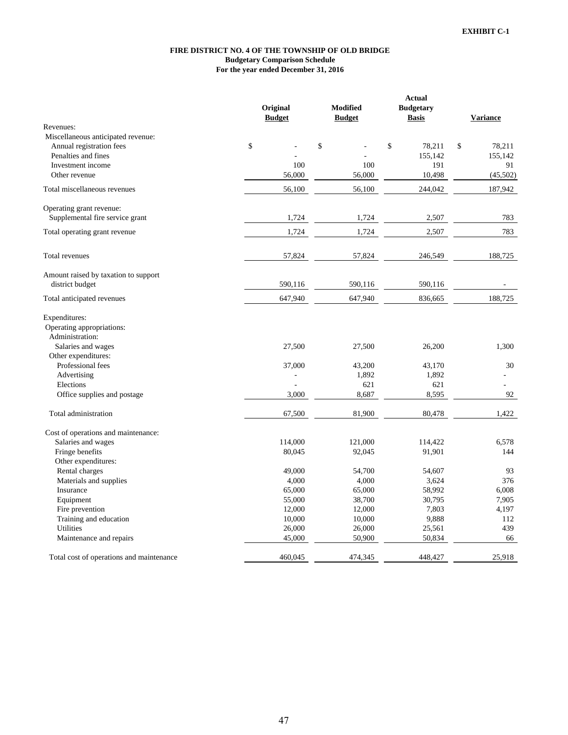#### **FIRE DISTRICT NO. 4 OF THE TOWNSHIP OF OLD BRIDGE Budgetary Comparison Schedule For the year ended December 31, 2016**

|                                          | Original<br><b>Budget</b> | <b>Modified</b><br><b>Budget</b> | <b>Actual</b><br><b>Budgetary</b><br><b>Basis</b> | <b>Variance</b> |  |
|------------------------------------------|---------------------------|----------------------------------|---------------------------------------------------|-----------------|--|
| Revenues:                                |                           |                                  |                                                   |                 |  |
| Miscellaneous anticipated revenue:       |                           |                                  |                                                   |                 |  |
| Annual registration fees                 | \$                        | \$                               | \$<br>78,211                                      | \$<br>78,211    |  |
| Penalties and fines                      |                           |                                  | 155,142                                           | 155,142         |  |
| Investment income                        | 100                       | 100                              | 191                                               | 91              |  |
| Other revenue                            | 56,000                    | 56,000                           | 10,498                                            | (45,502)        |  |
| Total miscellaneous revenues             | 56,100                    | 56,100                           | 244,042                                           | 187,942         |  |
| Operating grant revenue:                 |                           |                                  |                                                   |                 |  |
| Supplemental fire service grant          | 1,724                     | 1,724                            | 2,507                                             | 783             |  |
| Total operating grant revenue            | 1,724                     | 1,724                            | 2,507                                             | 783             |  |
|                                          |                           |                                  |                                                   |                 |  |
| Total revenues                           | 57,824                    | 57,824                           | 246,549                                           | 188,725         |  |
| Amount raised by taxation to support     |                           |                                  |                                                   |                 |  |
| district budget                          | 590,116                   | 590,116                          | 590,116                                           |                 |  |
| Total anticipated revenues               | 647,940                   | 647,940                          | 836,665                                           | 188,725         |  |
| Expenditures:                            |                           |                                  |                                                   |                 |  |
| Operating appropriations:                |                           |                                  |                                                   |                 |  |
| Administration:                          |                           |                                  |                                                   |                 |  |
| Salaries and wages                       | 27,500                    | 27,500                           | 26,200                                            | 1,300           |  |
| Other expenditures:                      |                           |                                  |                                                   |                 |  |
| Professional fees                        | 37,000                    | 43,200                           | 43,170                                            | 30              |  |
| Advertising                              |                           | 1,892                            | 1,892                                             |                 |  |
| Elections                                |                           | 621                              | 621                                               |                 |  |
| Office supplies and postage              | 3,000                     | 8,687                            | 8,595                                             | 92              |  |
| Total administration                     | 67,500                    | 81,900                           | 80,478                                            | 1,422           |  |
| Cost of operations and maintenance:      |                           |                                  |                                                   |                 |  |
| Salaries and wages                       | 114,000                   | 121,000                          | 114,422                                           | 6,578           |  |
| Fringe benefits                          | 80,045                    | 92,045                           | 91,901                                            | 144             |  |
| Other expenditures:                      |                           |                                  |                                                   |                 |  |
| Rental charges                           | 49,000                    | 54,700                           | 54,607                                            | 93              |  |
| Materials and supplies                   | 4,000                     | 4,000                            | 3,624                                             | 376             |  |
| Insurance                                | 65,000                    | 65,000                           | 58,992                                            | 6,008           |  |
| Equipment                                | 55,000                    | 38,700                           | 30,795                                            | 7,905           |  |
| Fire prevention                          | 12,000                    | 12,000                           | 7,803                                             | 4,197           |  |
| Training and education                   | 10,000                    | 10,000                           | 9,888                                             | 112             |  |
| Utilities                                | 26,000                    | 26,000                           | 25,561                                            | 439             |  |
| Maintenance and repairs                  | 45,000                    | 50,900                           | 50,834                                            | 66              |  |
| Total cost of operations and maintenance | 460,045                   | 474,345                          | 448,427                                           | 25,918          |  |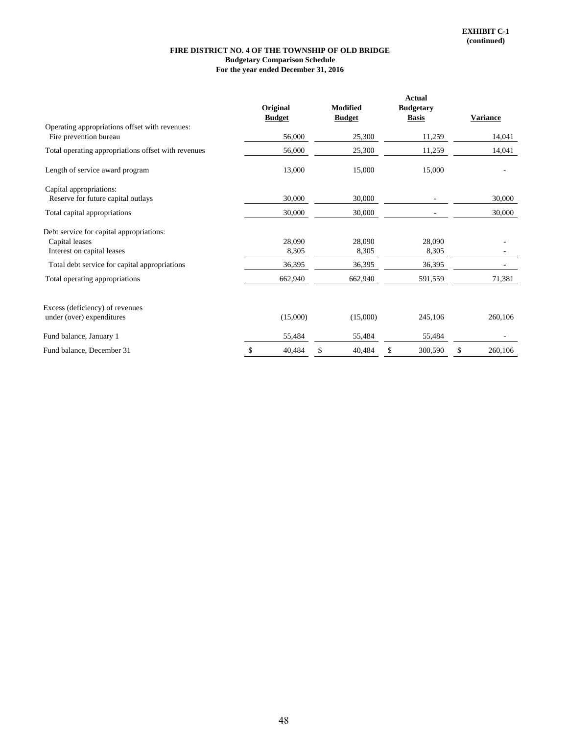#### **Budgetary Comparison Schedule FIRE DISTRICT NO. 4 OF THE TOWNSHIP OF OLD BRIDGE For the year ended December 31, 2016**

|                                                     | Original<br><b>Budget</b> | <b>Modified</b><br><b>Budget</b> | <b>Actual</b><br><b>Budgetary</b><br><b>Basis</b> | <b>Variance</b> |
|-----------------------------------------------------|---------------------------|----------------------------------|---------------------------------------------------|-----------------|
| Operating appropriations offset with revenues:      |                           |                                  |                                                   |                 |
| Fire prevention bureau                              | 56,000                    | 25,300                           | 11,259                                            | 14,041          |
| Total operating appropriations offset with revenues | 56,000                    | 25,300                           | 11,259                                            | 14,041          |
| Length of service award program                     | 13,000                    | 15,000                           | 15,000                                            |                 |
| Capital appropriations:                             |                           |                                  |                                                   |                 |
| Reserve for future capital outlays                  | 30,000                    | 30,000                           |                                                   | 30,000          |
| Total capital appropriations                        | 30,000                    | 30,000                           |                                                   | 30,000          |
| Debt service for capital appropriations:            |                           |                                  |                                                   |                 |
| Capital leases                                      | 28,090                    | 28,090                           | 28,090                                            |                 |
| Interest on capital leases                          | 8,305                     | 8,305                            | 8,305                                             |                 |
| Total debt service for capital appropriations       | 36,395                    | 36,395                           | 36,395                                            |                 |
| Total operating appropriations                      | 662,940                   | 662,940                          | 591,559                                           | 71,381          |
| Excess (deficiency) of revenues                     |                           |                                  |                                                   |                 |
| under (over) expenditures                           | (15,000)                  | (15,000)                         | 245,106                                           | 260,106         |
| Fund balance, January 1                             | 55,484                    | 55,484                           | 55,484                                            |                 |
| Fund balance, December 31                           | 40,484                    | 40,484                           | 300,590                                           | 260,106         |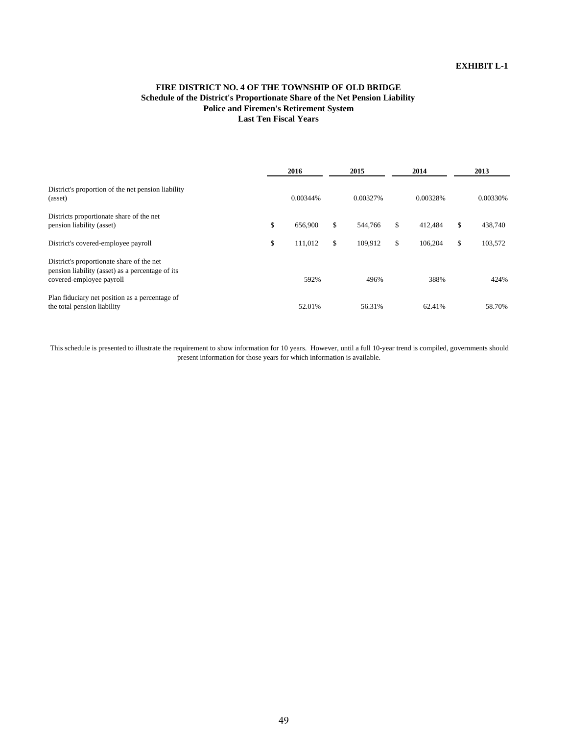#### **EXHIBIT L-1**

#### **FIRE DISTRICT NO. 4 OF THE TOWNSHIP OF OLD BRIDGE Schedule of the District's Proportionate Share of the Net Pension Liability Police and Firemen's Retirement System Last Ten Fiscal Years**

|                                                                                                                           | 2016          | 2015          | 2014          |     | 2013     |
|---------------------------------------------------------------------------------------------------------------------------|---------------|---------------|---------------|-----|----------|
| District's proportion of the net pension liability<br>(asset)                                                             | 0.00344%      | 0.00327%      | 0.00328%      |     | 0.00330% |
| Districts proportionate share of the net<br>pension liability (asset)                                                     | \$<br>656,900 | \$<br>544,766 | \$<br>412,484 | \$  | 438,740  |
| District's covered-employee payroll                                                                                       | \$<br>111.012 | \$<br>109.912 | \$<br>106.204 | \$. | 103.572  |
| District's proportionate share of the net<br>pension liability (asset) as a percentage of its<br>covered-employee payroll | 592%          | 496%          | 388%          |     | 424%     |
| Plan fiduciary net position as a percentage of<br>the total pension liability                                             | 52.01%        | 56.31%        | 62.41%        |     | 58.70%   |

This schedule is presented to illustrate the requirement to show information for 10 years. However, until a full 10-year trend is compiled, governments should present information for those years for which information is available.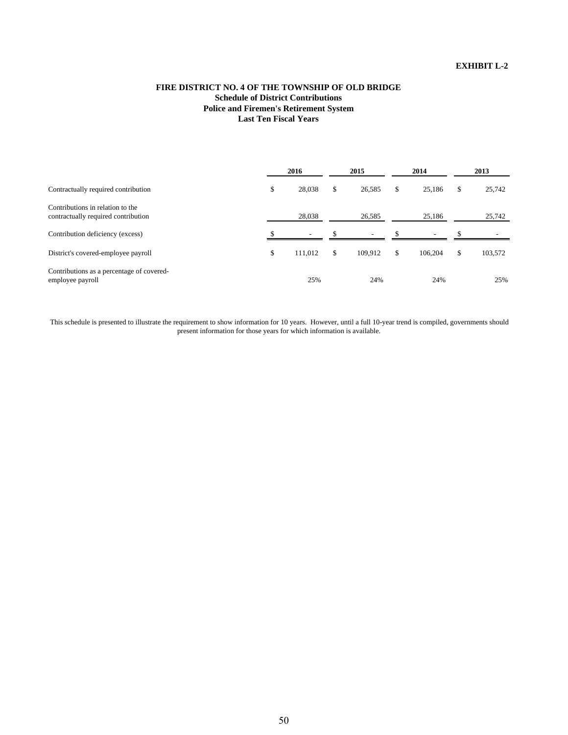#### **EXHIBIT L-2**

#### **FIRE DISTRICT NO. 4 OF THE TOWNSHIP OF OLD BRIDGE Schedule of District Contributions Police and Firemen's Retirement System Last Ten Fiscal Years**

|                                                                         | 2016          | 2015          | 2014          |    | 2013    |
|-------------------------------------------------------------------------|---------------|---------------|---------------|----|---------|
| Contractually required contribution                                     | \$<br>28,038  | \$<br>26,585  | \$<br>25,186  | S  | 25,742  |
| Contributions in relation to the<br>contractually required contribution | 28,038        | 26,585        | 25,186        |    | 25,742  |
| Contribution deficiency (excess)                                        |               |               |               |    |         |
| District's covered-employee payroll                                     | \$<br>111,012 | \$<br>109,912 | \$<br>106.204 | \$ | 103,572 |
| Contributions as a percentage of covered-<br>employee payroll           | 25%           | 24%           | 24%           |    | 25%     |

This schedule is presented to illustrate the requirement to show information for 10 years. However, until a full 10-year trend is compiled, governments should present information for those years for which information is available.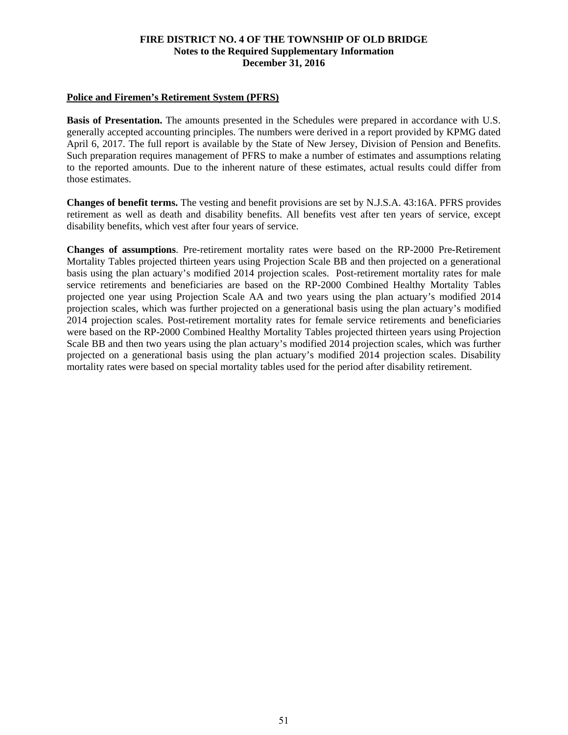#### **FIRE DISTRICT NO. 4 OF THE TOWNSHIP OF OLD BRIDGE Notes to the Required Supplementary Information December 31, 2016**

#### **Police and Firemen's Retirement System (PFRS)**

**Basis of Presentation.** The amounts presented in the Schedules were prepared in accordance with U.S. generally accepted accounting principles. The numbers were derived in a report provided by KPMG dated April 6, 2017. The full report is available by the State of New Jersey, Division of Pension and Benefits. Such preparation requires management of PFRS to make a number of estimates and assumptions relating to the reported amounts. Due to the inherent nature of these estimates, actual results could differ from those estimates.

**Changes of benefit terms.** The vesting and benefit provisions are set by N.J.S.A. 43:16A. PFRS provides retirement as well as death and disability benefits. All benefits vest after ten years of service, except disability benefits, which vest after four years of service.

**Changes of assumptions**. Pre-retirement mortality rates were based on the RP-2000 Pre-Retirement Mortality Tables projected thirteen years using Projection Scale BB and then projected on a generational basis using the plan actuary's modified 2014 projection scales. Post-retirement mortality rates for male service retirements and beneficiaries are based on the RP-2000 Combined Healthy Mortality Tables projected one year using Projection Scale AA and two years using the plan actuary's modified 2014 projection scales, which was further projected on a generational basis using the plan actuary's modified 2014 projection scales. Post-retirement mortality rates for female service retirements and beneficiaries were based on the RP-2000 Combined Healthy Mortality Tables projected thirteen years using Projection Scale BB and then two years using the plan actuary's modified 2014 projection scales, which was further projected on a generational basis using the plan actuary's modified 2014 projection scales. Disability mortality rates were based on special mortality tables used for the period after disability retirement.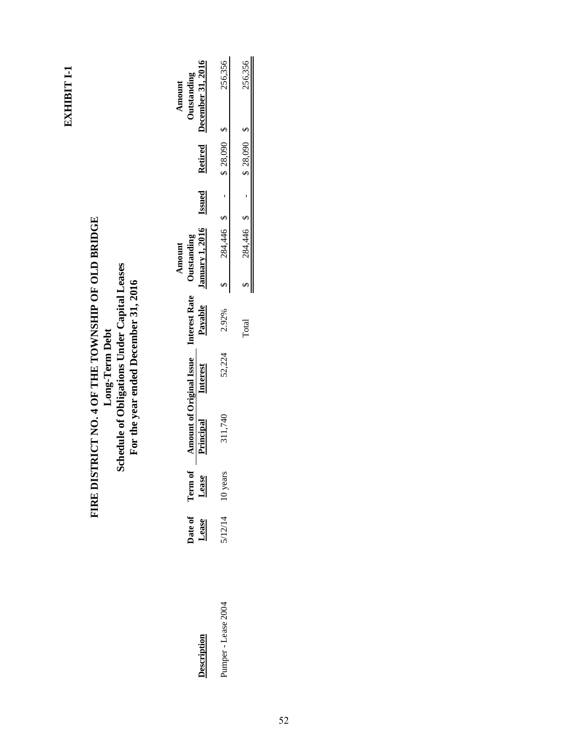# EXHIBIT I-1 **EXHIBIT I-1**

# FIRE DISTRICT NO. 4 OF THE TOWNSHIP OF OLD BRIDGE **FIRE DISTRICT NO. 4 OF THE TOWNSHIP OF OLD BRIDGE** Long-Term Debt<br>Schedule of Obligations Under Capital Leases<br>For the year ended December 31, 2016 **Schedule of Obligations Under Capital Leases For the year ended December 31, 2016 Long-Term Debt**

|                     |         |                                | mount of Original Issue |        | Interest Rat   | <b>Outstanding</b><br>Amount |         |        |          | utstandi<br>hmoun |
|---------------------|---------|--------------------------------|-------------------------|--------|----------------|------------------------------|---------|--------|----------|-------------------|
| <b>escription</b>   |         | Date of Term of<br>Lease Lease |                         |        | <b>Payable</b> | anuary 1, 201                |         | Issued | Retired  | ecember 31, 20    |
| Pumper - Lease 2004 | 5/12/14 | 10 years                       | 111,740                 | 52,224 | 2.92%          |                              | 284,446 |        | \$28.090 | 256,356           |
|                     |         |                                |                         |        | Total          |                              | 284.446 |        | \$28.09  | 256,356           |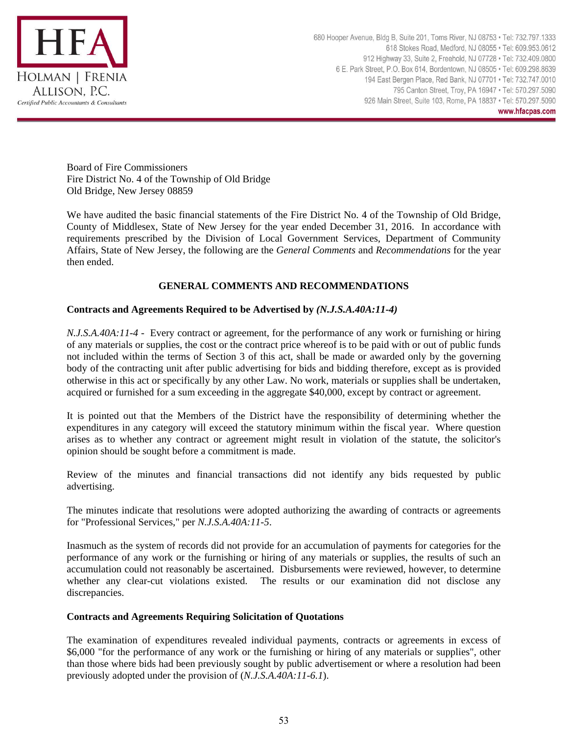

Board of Fire Commissioners Fire District No. 4 of the Township of Old Bridge Old Bridge, New Jersey 08859

We have audited the basic financial statements of the Fire District No. 4 of the Township of Old Bridge, County of Middlesex, State of New Jersey for the year ended December 31, 2016. In accordance with requirements prescribed by the Division of Local Government Services, Department of Community Affairs, State of New Jersey, the following are the *General Comments* and *Recommendations* for the year then ended.

# **GENERAL COMMENTS AND RECOMMENDATIONS**

#### **Contracts and Agreements Required to be Advertised by** *(N.J.S.A.40A:11-4)*

*N.J.S.A.40A:11-4 -* Every contract or agreement, for the performance of any work or furnishing or hiring of any materials or supplies, the cost or the contract price whereof is to be paid with or out of public funds not included within the terms of Section 3 of this act, shall be made or awarded only by the governing body of the contracting unit after public advertising for bids and bidding therefore, except as is provided otherwise in this act or specifically by any other Law. No work, materials or supplies shall be undertaken, acquired or furnished for a sum exceeding in the aggregate \$40,000, except by contract or agreement.

It is pointed out that the Members of the District have the responsibility of determining whether the expenditures in any category will exceed the statutory minimum within the fiscal year. Where question arises as to whether any contract or agreement might result in violation of the statute, the solicitor's opinion should be sought before a commitment is made.

Review of the minutes and financial transactions did not identify any bids requested by public advertising.

The minutes indicate that resolutions were adopted authorizing the awarding of contracts or agreements for "Professional Services," per *N.J.S.A.40A:11-5*.

Inasmuch as the system of records did not provide for an accumulation of payments for categories for the performance of any work or the furnishing or hiring of any materials or supplies, the results of such an accumulation could not reasonably be ascertained. Disbursements were reviewed, however, to determine whether any clear-cut violations existed. The results or our examination did not disclose any discrepancies.

#### **Contracts and Agreements Requiring Solicitation of Quotations**

The examination of expenditures revealed individual payments, contracts or agreements in excess of \$6,000 "for the performance of any work or the furnishing or hiring of any materials or supplies", other than those where bids had been previously sought by public advertisement or where a resolution had been previously adopted under the provision of (*N.J.S.A.40A:11-6.1*).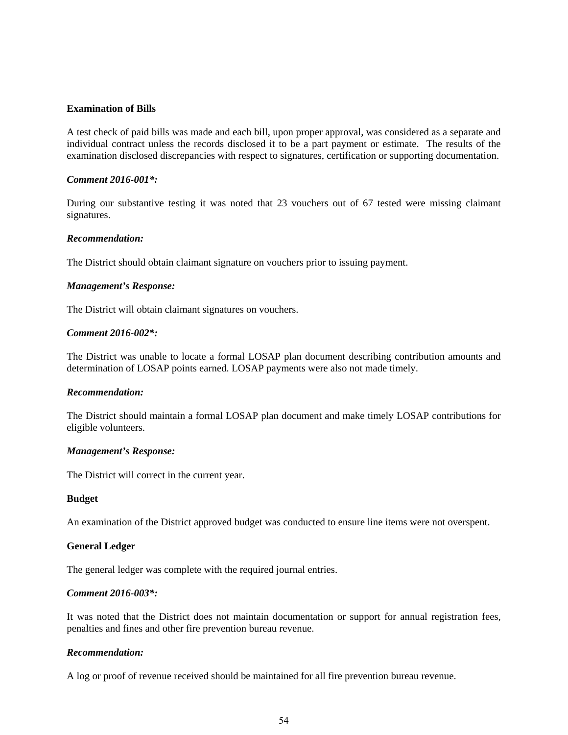#### **Examination of Bills**

A test check of paid bills was made and each bill, upon proper approval, was considered as a separate and individual contract unless the records disclosed it to be a part payment or estimate. The results of the examination disclosed discrepancies with respect to signatures, certification or supporting documentation.

#### *Comment 2016-001\*:*

During our substantive testing it was noted that 23 vouchers out of 67 tested were missing claimant signatures.

#### *Recommendation:*

The District should obtain claimant signature on vouchers prior to issuing payment.

#### *Management's Response:*

The District will obtain claimant signatures on vouchers.

#### *Comment 2016-002\*:*

The District was unable to locate a formal LOSAP plan document describing contribution amounts and determination of LOSAP points earned. LOSAP payments were also not made timely.

#### *Recommendation:*

The District should maintain a formal LOSAP plan document and make timely LOSAP contributions for eligible volunteers.

#### *Management's Response:*

The District will correct in the current year.

#### **Budget**

An examination of the District approved budget was conducted to ensure line items were not overspent.

#### **General Ledger**

The general ledger was complete with the required journal entries.

#### *Comment 2016-003\*:*

It was noted that the District does not maintain documentation or support for annual registration fees, penalties and fines and other fire prevention bureau revenue.

#### *Recommendation:*

A log or proof of revenue received should be maintained for all fire prevention bureau revenue.